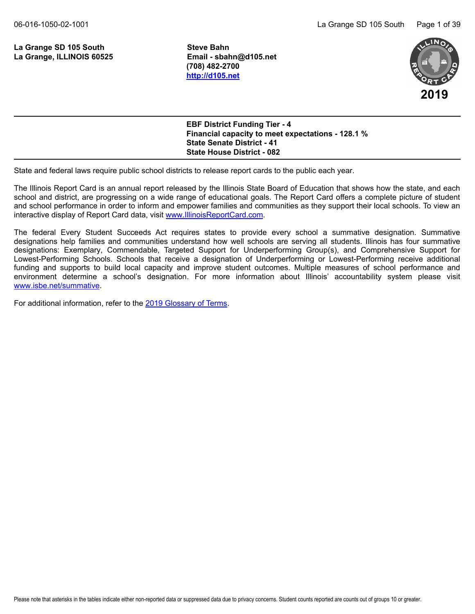La Grange SD 105 South **Steve Bahn La Grange, ILLINOIS 60525 Email - sbahn@d105.net**

**(708) 482-2700 <http://d105.net>**



**EBF District Funding Tier - 4 Financial capacity to meet expectations - 128.1 % State Senate District - 41 State House District - 082**

State and federal laws require public school districts to release report cards to the public each year.

The Illinois Report Card is an annual report released by the Illinois State Board of Education that shows how the state, and each school and district, are progressing on a wide range of educational goals. The Report Card offers a complete picture of student and school performance in order to inform and empower families and communities as they support their local schools. To view an interactive display of Report Card data, visit [www.IllinoisReportCard.com](https://www.illinoisreportcard.com/).

The federal Every Student Succeeds Act requires states to provide every school a summative designation. Summative designations help families and communities understand how well schools are serving all students. Illinois has four summative designations: Exemplary, Commendable, Targeted Support for Underperforming Group(s), and Comprehensive Support for Lowest-Performing Schools. Schools that receive a designation of Underperforming or Lowest-Performing receive additional funding and supports to build local capacity and improve student outcomes. Multiple measures of school performance and environment determine a school's designation. For more information about Illinois' accountability system please visit [www.isbe.net/summative](https://www.isbe.net/summative).

For additional information, refer to th[e 2019 Glossary of Terms](https://www.isbe.net/Documents/2019-Report-Card-Glossary-Terms.pdf).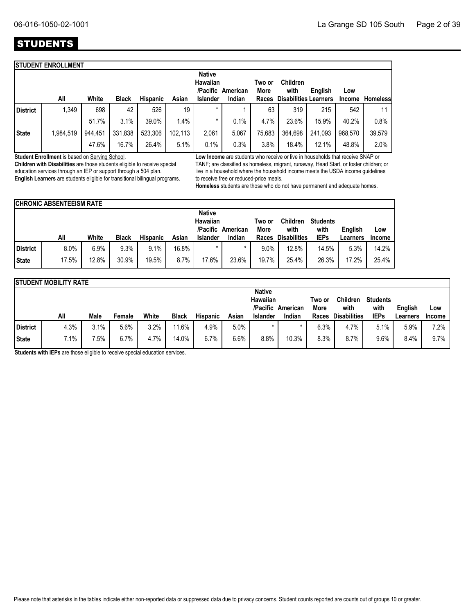## **STUDENTS**

|                 | <b>ISTUDENT ENROLLMENT</b> |         |              |                 |         |                           |                   |                |                              |         |         |                 |
|-----------------|----------------------------|---------|--------------|-----------------|---------|---------------------------|-------------------|----------------|------------------------------|---------|---------|-----------------|
|                 |                            |         |              |                 |         | <b>Native</b><br>Hawaiian | /Pacific American | Two or<br>More | <b>Children</b><br>with      | English | Low     |                 |
|                 | All                        | White   | <b>Black</b> | <b>Hispanic</b> | Asian   | <b>Islander</b>           | Indian            | Races          | <b>Disabilities Learners</b> |         | Income  | <b>Homeless</b> |
| <b>District</b> | 1,349                      | 698     | 42           | 526             | 19      | $\star$                   |                   | 63             | 319                          | 215     | 542     | 11              |
|                 |                            | 51.7%   | 3.1%         | 39.0%           | 1.4%    | *                         | 0.1%              | 4.7%           | 23.6%                        | 15.9%   | 40.2%   | 0.8%            |
| <b>State</b>    | 1,984,519                  | 944,451 | 331,838      | 523,306         | 102,113 | 2,061                     | 5.067             | 75,683         | 364,698                      | 241,093 | 968,570 | 39,579          |
|                 |                            | 47.6%   | 16.7%        | 26.4%           | 5.1%    | 0.1%                      | 0.3%              | 3.8%           | 18.4%                        | 12.1%   | 48.8%   | 2.0%            |
|                 |                            |         |              |                 |         |                           |                   |                |                              |         |         |                 |

**Student Enrollment** is based on Serving School.

**Children with Disabilities** are those students eligible to receive special education services through an IEP or support through a 504 plan. **English Learners** are students eligible for transitional bilingual programs. **Low Income** are students who receive or live in households that receive SNAP or TANF; are classified as homeless, migrant, runaway, Head Start, or foster children; or live in a household where the household income meets the USDA income guidelines to receive free or reduced-price meals.

**Homeless** students are those who do not have permanent and adequate homes.

|          | <b>CHRONIC ABSENTEEISM RATE</b> |       |              |                 |       |                           |                   |                |                         |                         |          |        |
|----------|---------------------------------|-------|--------------|-----------------|-------|---------------------------|-------------------|----------------|-------------------------|-------------------------|----------|--------|
|          |                                 |       |              |                 |       | <b>Native</b><br>Hawaiian | /Pacific American | Two or<br>More | <b>Children</b><br>with | <b>Students</b><br>with | English  | Low    |
|          | All                             | White | <b>Black</b> | <b>Hispanic</b> | Asian | <b>Islander</b>           | Indian            | Races          | <b>Disabilities</b>     | <b>IEPs</b>             | Learners | Income |
| District | 8.0%                            | 6.9%  | 9.3%         | 9.1%            | 16.8% | $\star$                   | $\star$           | 9.0%           | 12.8%                   | 14.5%                   | 5.3%     | 14.2%  |
| State    | 17.5%                           | 12.8% | 30.9%        | 19.5%           | 8.7%  | 17.6%                     | 23.6%             | 19.7%          | 25.4%                   | 26.3%                   | 17.2%    | 25.4%  |

|              | <b>ISTUDENT MOBILITY RATE</b> |      |         |         |              |                 |       |                                  |                             |               |                             |                     |                     |                      |
|--------------|-------------------------------|------|---------|---------|--------------|-----------------|-------|----------------------------------|-----------------------------|---------------|-----------------------------|---------------------|---------------------|----------------------|
|              |                               |      |         |         |              |                 |       | <b>Native</b><br><b>Hawaiian</b> |                             | Two or        | <b>Children</b>             | <b>Students</b>     |                     |                      |
|              | All                           | Male | Female  | White   | <b>Black</b> | <b>Hispanic</b> | Asian | <b>Islander</b>                  | /Pacific American<br>Indian | More<br>Races | with<br><b>Disabilities</b> | with<br><b>IEPs</b> | English<br>Learners | Low<br><b>Income</b> |
| District     | 4.3%                          | 3.1% | $5.6\%$ | $3.2\%$ | 11.6%        | 4.9%            | 5.0%  |                                  |                             | 6.3%          | 4.7%                        | 5.1%                | 5.9%                | 7.2%                 |
| <b>State</b> | 7.1%                          | 7.5% | 6.7%    | 4.7%    | 14.0%        | 6.7%            | 6.6%  | 8.8%                             | 10.3%                       | 8.3%          | 8.7%                        | 9.6%                | 8.4%                | $9.7\%$              |

**Students with IEPs** are those eligible to receive special education services.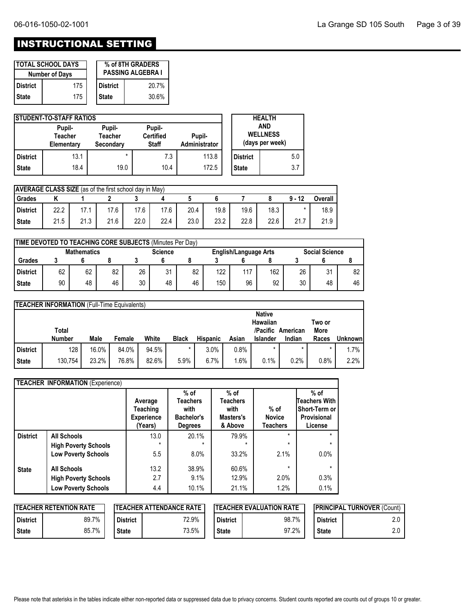## INSTRUCTIONAL SETTING

|                 | <b>ITOTAL SCHOOL DAYS</b><br><b>Number of Days</b> |              | % of 8TH GRADERS<br><b>PASSING ALGEBRA I</b> |
|-----------------|----------------------------------------------------|--------------|----------------------------------------------|
| <b>District</b> | 175                                                | l District   | 20.7%                                        |
| <b>State</b>    | 175                                                | <b>State</b> | 30.6%                                        |

|              | <b>STUDENT-TO-STAFF RATIOS</b>  |                                |                                            |                         |                 | <b>HEALTH</b>                             |     |
|--------------|---------------------------------|--------------------------------|--------------------------------------------|-------------------------|-----------------|-------------------------------------------|-----|
|              | Pupil-<br>Teacher<br>Elementary | Pupil-<br>Teacher<br>Secondary | Pupil-<br><b>Certified</b><br><b>Staff</b> | Pupil-<br>Administrator |                 | AND<br><b>WELLNESS</b><br>(days per week) |     |
| l District   | 13.1                            | $\star$                        | 7.3                                        | 113.8                   | <b>District</b> |                                           | 5.0 |
| <b>State</b> | 18.4                            | 19.0                           | 10.4                                       | 172.5                   | <b>State</b>    |                                           | 3.7 |

| <b>AVERAGE CLASS SIZE</b> (as of the first school day in May) |      |      |      |      |      |      |      |      |      |          |         |
|---------------------------------------------------------------|------|------|------|------|------|------|------|------|------|----------|---------|
| Grades                                                        |      |      |      |      |      |      |      |      |      | $9 - 12$ | Overall |
| District                                                      | 22.2 |      | 17.6 | 17.6 | 17.6 | 20.4 | 19.8 | 19.6 | 18.3 |          | 18.9    |
| <b>State</b>                                                  | 21.5 | 21.3 | 21.6 | 22.0 | 22.4 | 23.0 | 23.2 | 22.8 | 22.6 | 21.7     | 21.9    |

| TIME DEVOTED TO TEACHING CORE SUBJECTS (Minutes Per Day)                                      |    |    |    |    |    |    |     |     |     |    |    |    |
|-----------------------------------------------------------------------------------------------|----|----|----|----|----|----|-----|-----|-----|----|----|----|
| <b>Social Science</b><br><b>Mathematics</b><br><b>Science</b><br><b>English/Language Arts</b> |    |    |    |    |    |    |     |     |     |    |    |    |
| Grades                                                                                        |    |    |    |    |    |    |     |     |     |    |    |    |
| <b>District</b>                                                                               | 62 | 62 | 82 | 26 | 31 | 82 | 122 | 117 | 162 | 26 | 31 | 82 |
| <b>State</b>                                                                                  | 90 | 48 | 46 | 30 | 48 | 46 | 150 | 96  | 92  | 30 | 48 | 46 |

|                 | <b>TEACHER INFORMATION</b> (Full-Time Equivalents) |       |        |       |              |                 |       |                                       |          |                |          |
|-----------------|----------------------------------------------------|-------|--------|-------|--------------|-----------------|-------|---------------------------------------|----------|----------------|----------|
|                 | Total                                              |       |        |       |              |                 |       | <b>Native</b><br>Hawaiian<br>/Pacific | American | Two or<br>More |          |
|                 | Number                                             | Male  | Female | White | <b>Black</b> | <b>Hispanic</b> | Asian | <b>Islander</b>                       | Indian   | Races          | Unknownl |
| <b>District</b> | 128                                                | 16.0% | 84.0%  | 94.5% | $\star$      | 3.0%            | 0.8%  |                                       |          |                | 1.7%     |
| <b>State</b>    | 130.754                                            | 23.2% | 76.8%  | 82.6% | 5.9%         | 6.7%            | 1.6%  | 0.1%                                  | 0.2%     | 0.8%           | 2.2%     |

|                 | <b>TEACHER INFORMATION (Experience)</b> |                                                     |                                                                   |                                                    |                                            |                                                                           |
|-----------------|-----------------------------------------|-----------------------------------------------------|-------------------------------------------------------------------|----------------------------------------------------|--------------------------------------------|---------------------------------------------------------------------------|
|                 |                                         | Average<br>Teaching<br><b>Experience</b><br>(Years) | $%$ of<br>Teachers<br>with<br><b>Bachelor's</b><br><b>Degrees</b> | $%$ of<br>Teachers<br>with<br>Masters's<br>& Above | $%$ of<br><b>Novice</b><br><b>Teachers</b> | $%$ of<br><b>Teachers With</b><br>Short-Term or<br>Provisional<br>License |
| <b>District</b> | <b>All Schools</b>                      | 13.0                                                | 20.1%                                                             | 79.9%                                              | $\star$                                    | $\star$                                                                   |
|                 | <b>High Poverty Schools</b>             | $\star$                                             | $\star$                                                           | $\star$                                            | $\star$                                    | $\star$                                                                   |
|                 | <b>Low Poverty Schools</b>              | 5.5                                                 | 8.0%                                                              | 33.2%                                              | 2.1%                                       | 0.0%                                                                      |
| <b>State</b>    | <b>All Schools</b>                      | 13.2                                                | 38.9%                                                             | 60.6%                                              | $\star$                                    | $\star$                                                                   |
|                 | <b>High Poverty Schools</b>             | 2.7                                                 | 9.1%                                                              | 12.9%                                              | 2.0%                                       | 0.3%                                                                      |
|                 | <b>Low Poverty Schools</b>              | 4.4                                                 | 10.1%                                                             | 21.1%                                              | 1.2%                                       | 0.1%                                                                      |

|              | <b>ITEACHER RETENTION RATE</b> |                 | <b>ITEACHER ATTENDANCE RATE</b> |                 | <b>IPRINCIPAL TURNOVER (Count)</b><br><b>ITEACHER EVALUATION RATE</b> |                 |     |
|--------------|--------------------------------|-----------------|---------------------------------|-----------------|-----------------------------------------------------------------------|-----------------|-----|
| l District   | 89.7%                          | <b>District</b> | 72.9%                           | <b>District</b> | 98.7%                                                                 | <b>District</b> | 2.0 |
| <b>State</b> | 85.7%                          | <b>State</b>    | 73.5%                           | <b>State</b>    | 97.2%                                                                 | <b>State</b>    | 2.0 |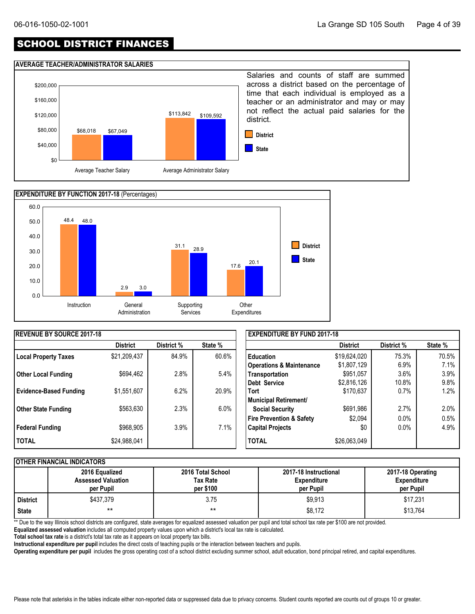## SCHOOL DISTRICT FINANCES

#### **AVERAGE TEACHER/ADMINISTRATOR SALARIES**





| <b>REVENUE BY SOURCE 2017-18</b> |                 |            |         | <b>EXPENDITURE BY FUND 2017-18</b>  |                 |            |         |  |
|----------------------------------|-----------------|------------|---------|-------------------------------------|-----------------|------------|---------|--|
|                                  | <b>District</b> | District % | State % |                                     | <b>District</b> | District % | State % |  |
| <b>Local Property Taxes</b>      | \$21,209,437    | 84.9%      | 60.6%   | <b>Education</b>                    | \$19,624,020    | 75.3%      | 70.5%   |  |
|                                  |                 |            |         | <b>Operations &amp; Maintenance</b> | \$1,807,129     | 6.9%       | 7.1%    |  |
| l Other Local Funding            | \$694,462       | 2.8%       | 5.4%    | Transportation                      | \$951,057       | 3.6%       | 3.9%    |  |
|                                  |                 |            |         | Debt Service                        | \$2,816,126     | 10.8%      | 9.8%    |  |
| <b>Evidence-Based Funding</b>    | \$1,551,607     | 6.2%       | 20.9%   | <b>Tort</b>                         | \$170,637       | 0.7%       | 1.2%    |  |
|                                  |                 |            |         | Municipal Retirement/               |                 |            |         |  |
| <b>Other State Funding</b>       | \$563,630       | 2.3%       | $6.0\%$ | <b>Social Security</b>              | \$691,986       | 2.7%       | 2.0%    |  |
|                                  |                 |            |         | Fire Prevention & Safety            | \$2,094         | $0.0\%$    | 0.5%    |  |
| Federal Funding                  | \$968,905       | 3.9%       | 7.1%    | <b>Capital Projects</b>             | \$0             | $0.0\%$    | 4.9%    |  |
| <b>I TOTAL</b>                   | \$24,988,041    |            |         | <b>TOTAL</b>                        | \$26,063,049    |            |         |  |

#### **OTHER FINANCIAL INDICATORS**

|            | 2016 Equalized<br><b>Assessed Valuation</b><br>per Pupil | 2016 Total School<br>Tax Rate<br>per \$100 | 2017-18 Instructional<br><b>Expenditure</b><br>per Pupil | 2017-18 Operating<br><b>Expenditure</b><br>per Pupil |
|------------|----------------------------------------------------------|--------------------------------------------|----------------------------------------------------------|------------------------------------------------------|
| l District | \$437.379                                                | 3.75                                       | \$9,913                                                  | \$17,231                                             |
| State      | $***$                                                    | $***$                                      | \$8,172                                                  | \$13,764                                             |

\*\* Due to the way Illinois school districts are configured, state averages for equalized assessed valuation per pupil and total school tax rate per \$100 are not provided.

**Equalized assessed valuation** includes all computed property values upon which a district's local tax rate is calculated.

**Total school tax rate** is a district's total tax rate as it appears on local property tax bills.

**Instructional expenditure per pupil** includes the direct costs of teaching pupils or the interaction between teachers and pupils.

**Operating expenditure per pupil** includes the gross operating cost of a school district excluding summer school, adult education, bond principal retired, and capital expenditures.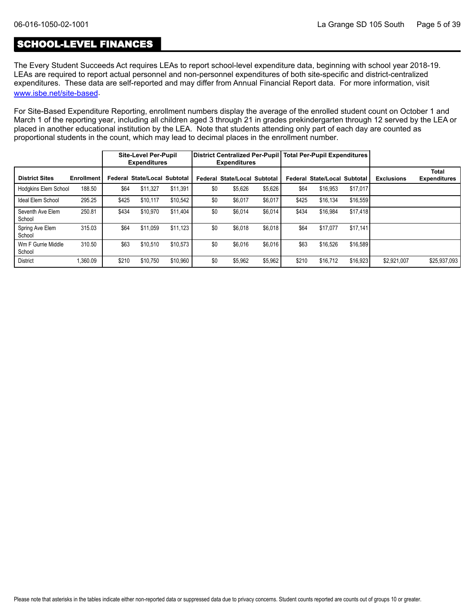## SCHOOL-LEVEL FINANCES

The Every Student Succeeds Act requires LEAs to report school-level expenditure data, beginning with school year 2018-19. LEAs are required to report actual personnel and non-personnel expenditures of both site-specific and district-centralized expenditures. These data are self-reported and may differ from Annual Financial Report data. For more information, visit [www.isbe.net/site-based](https://www.isbe.net/site-based).

For Site-Based Expenditure Reporting, enrollment numbers display the average of the enrolled student count on October 1 and March 1 of the reporting year, including all children aged 3 through 21 in grades prekindergarten through 12 served by the LEA or placed in another educational institution by the LEA. Note that students attending only part of each day are counted as proportional students in the count, which may lead to decimal places in the enrollment number.

|                              |                   |       | <b>Site-Level Per-Pupil</b><br><b>Expenditures</b> |          |     | <b>Expenditures</b>                 |         |       | District Centralized Per-Pupil   Total Per-Pupil Expenditures |          |                   |                                     |
|------------------------------|-------------------|-------|----------------------------------------------------|----------|-----|-------------------------------------|---------|-------|---------------------------------------------------------------|----------|-------------------|-------------------------------------|
| <b>District Sites</b>        | <b>Enrollment</b> |       | Federal State/Local Subtotal                       |          |     | <b>Federal State/Local Subtotal</b> |         |       | Federal State/Local Subtotal                                  |          | <b>Exclusions</b> | <b>Total</b><br><b>Expenditures</b> |
| Hodgkins Elem School         | 188.50            | \$64  | \$11.327                                           | \$11.391 | \$0 | \$5.626                             | \$5.626 | \$64  | \$16.953                                                      | \$17,017 |                   |                                     |
| Ideal Elem School            | 295.25            | \$425 | \$10.117                                           | \$10.542 | \$0 | \$6.017                             | \$6.017 | \$425 | \$16.134                                                      | \$16.559 |                   |                                     |
| Seventh Ave Elem<br>School   | 250.81            | \$434 | \$10,970                                           | \$11.404 | \$0 | \$6,014                             | \$6,014 | \$434 | \$16.984                                                      | \$17,418 |                   |                                     |
| Spring Ave Elem<br>School    | 315.03            | \$64  | \$11.059                                           | \$11.123 | \$0 | \$6.018                             | \$6,018 | \$64  | \$17,077                                                      | \$17,141 |                   |                                     |
| Wm F Gurrie Middle<br>School | 310.50            | \$63  | \$10,510                                           | \$10.573 | \$0 | \$6.016                             | \$6,016 | \$63  | \$16,526                                                      | \$16,589 |                   |                                     |
| <b>District</b>              | 1.360.09          | \$210 | \$10.750                                           | \$10.960 | \$0 | \$5,962                             | \$5,962 | \$210 | \$16.712                                                      | \$16.923 | \$2.921.007       | \$25,937,093                        |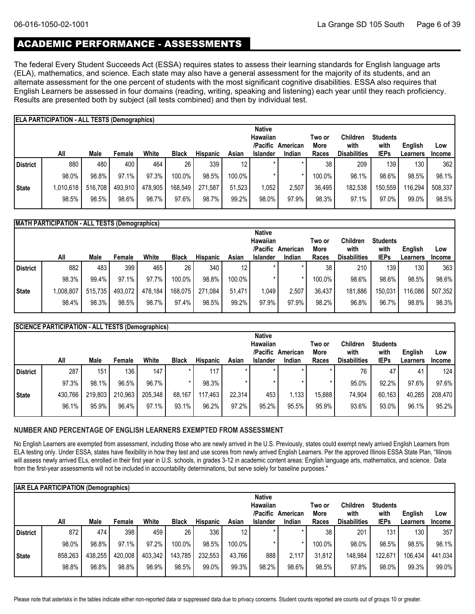## ACADEMIC PERFORMANCE - ASSESSMENTS

The federal Every Student Succeeds Act (ESSA) requires states to assess their learning standards for English language arts (ELA), mathematics, and science. Each state may also have a general assessment for the majority of its students, and an alternate assessment for the one percent of students with the most significant cognitive disabilities. ESSA also requires that English Learners be assessed in four domains (reading, writing, speaking and listening) each year until they reach proficiency. Results are presented both by subject (all tests combined) and then by individual test.

|              | <b>ELA PARTICIPATION - ALL TESTS (Demographics)</b> |         |         |         |              |                 |        |                 |          |        |                     |                 |          |               |
|--------------|-----------------------------------------------------|---------|---------|---------|--------------|-----------------|--------|-----------------|----------|--------|---------------------|-----------------|----------|---------------|
|              |                                                     |         |         |         |              |                 |        | <b>Native</b>   |          |        |                     |                 |          |               |
|              |                                                     |         |         |         |              |                 |        | Hawaiian        |          | Two or | <b>Children</b>     | <b>Students</b> |          |               |
|              |                                                     |         |         |         |              |                 |        | /Pacific        | American | More   | with                | with            | English  | Low           |
|              | All                                                 | Male    | Female  | White   | <b>Black</b> | <b>Hispanic</b> | Asian  | <b>Islander</b> | Indian   | Races  | <b>Disabilities</b> | <b>IEPs</b>     | Learners | <b>Income</b> |
| District     | 880                                                 | 480     | 400     | 464     | 26           | 339             | 12     | $\star$         |          | 38     | 209                 | 139             | 130      | 362           |
|              | 98.0%                                               | 98.8%   | 97.1%   | 97.3%   | 100.0%       | 98.5%           | 100.0% |                 |          | 100.0% | 98.1%               | 98.6%           | 98.5%    | 98.1%         |
| <b>State</b> | 1,010,618                                           | 516.708 | 493,910 | 478,905 | 168,549      | 271.587         | 51.523 | ,052            | 2.507    | 36.495 | 182.538             | 150,559         | 116,294  | 508,337       |
|              | 98.5%                                               | 98.5%   | 98.6%   | 98.7%   | 97.6%        | 98.7%           | 99.2%  | 98.0%           | 97.9%    | 98.3%  | 97.1%               | 97.0%           | 99.0%    | 98.5%         |

|              | <b>MATH PARTICIPATION - ALL TESTS (Demographics)</b> |         |         |         |              |                 |           |                 |          |        |                     |                 |                  |               |
|--------------|------------------------------------------------------|---------|---------|---------|--------------|-----------------|-----------|-----------------|----------|--------|---------------------|-----------------|------------------|---------------|
|              |                                                      |         |         |         |              |                 |           | <b>Native</b>   |          |        |                     |                 |                  |               |
|              |                                                      |         |         |         |              |                 |           | Hawaiian        |          | Two or | <b>Children</b>     | <b>Students</b> |                  |               |
|              |                                                      |         |         |         |              |                 |           | /Pacific        | American | More   | with                | with            | English          | Low           |
|              | All                                                  | Male    | Female  | White   | <b>Black</b> | <b>Hispanic</b> | Asian     | <b>Islander</b> | Indian   | Races  | <b>Disabilities</b> | <b>IEPs</b>     | Learners         | <b>Income</b> |
| District     | 882                                                  | 483     | 399     | 465     | 26           | 340             | 12        |                 |          | 38     | 210                 | 139             | 130 <sub>1</sub> | 363           |
|              | 98.3%                                                | 99.4%   | 97.1%   | 97.7%   | 100.0%       | 98.8%           | $100.0\%$ |                 |          | 100.0% | 98.6%               | 98.6%           | 98.5%            | 98.6%         |
| <b>State</b> | ,008,807                                             | 515,735 | 493,072 | 478,184 | 168,075      | 271,084         | 51.471    | 1,049           | 2,507    | 36,437 | 181,886             | 150,031         | 16,086           | 507,352       |
|              | 98.4%                                                | 98.3%   | 98.5%   | 98.7%   | 97.4%        | 98.5%           | 99.2%     | 97.9%           | 97.9%    | 98.2%  | 96.8%               | 96.7%           | 98.8%            | 98.3%         |

|              | <b>SCIENCE PARTICIPATION - ALL TESTS (Demographics)</b> |         |         |         |              |          |        |                 |          |        |                     |                 |          |               |
|--------------|---------------------------------------------------------|---------|---------|---------|--------------|----------|--------|-----------------|----------|--------|---------------------|-----------------|----------|---------------|
|              |                                                         |         |         |         |              |          |        | <b>Native</b>   |          |        |                     |                 |          |               |
|              |                                                         |         |         |         |              |          |        | Hawaiian        |          | Two or | Children            | <b>Students</b> |          |               |
|              |                                                         |         |         |         |              |          |        | /Pacific        | American | More   | with                | with            | English  | Low           |
|              | All                                                     | Male    | Female  | White   | <b>Black</b> | Hispanic | Asian  | <b>Islander</b> | Indian   | Races  | <b>Disabilities</b> | <b>IEPs</b>     | Learners | <b>Income</b> |
| District     | 287                                                     | 151     | 136     | 147     |              | 117      |        | $\star$         | $\star$  |        | 76                  | 47              | 41       | 124           |
|              | 97.3%                                                   | 98.1%   | 96.5%   | 96.7%   |              | 98.3%    |        |                 |          |        | 95.0%               | 92.2%           | 97.6%    | 97.6%         |
| <b>State</b> | 430,766                                                 | 219,803 | 210,963 | 205,348 | 68,167       | 117,463  | 22.314 | 453             | 1,133    | 15,888 | 74.904              | 60,163          | 40,285   | 208,470       |
|              | 96.1%                                                   | 95.9%   | 96.4%   | 97.1%   | 93.1%        | 96.2%    | 97.2%  | 95.2%           | 95.5%    | 95.9%  | 93.6%               | 93.0%           | 96.1%    | 95.2%         |
|              |                                                         |         |         |         |              |          |        |                 |          |        |                     |                 |          |               |

#### **NUMBER AND PERCENTAGE OF ENGLISH LEARNERS EXEMPTED FROM ASSESSMENT**

No English Learners are exempted from assessment, including those who are newly arrived in the U.S. Previously, states could exempt newly arrived English Learners from ELA testing only. Under ESSA, states have flexibility in how they test and use scores from newly arrived English Learners. Per the approved Illinois ESSA State Plan, "Illinois will assess newly arrived ELs, enrolled in their first year in U.S. schools, in grades 3-12 in academic content areas: English language arts, mathematics, and science. Data from the first-year assessments will not be included in accountability determinations, but serve solely for baseline purposes."

|            | <b>IAR ELA PARTICIPATION (Demographics)</b> |         |         |         |              |                 |                 |                 |          |        |                     |                 |          |               |
|------------|---------------------------------------------|---------|---------|---------|--------------|-----------------|-----------------|-----------------|----------|--------|---------------------|-----------------|----------|---------------|
|            |                                             |         |         |         |              |                 |                 | <b>Native</b>   |          |        |                     |                 |          |               |
|            |                                             |         |         |         |              |                 |                 | <b>Hawaiian</b> |          | Two or | <b>Children</b>     | <b>Students</b> |          |               |
|            |                                             |         |         |         |              |                 |                 | /Pacific        | American | More   | with                | with            | English  | Low           |
|            | All                                         | Male    | Female  | White   | <b>Black</b> | <b>Hispanic</b> | Asian           | <b>Islander</b> | Indian   | Races  | <b>Disabilities</b> | <b>IEPs</b>     | Learners | <b>Income</b> |
| l District | 872                                         | 474     | 398     | 459     | 26           | 336             | 12 <sup>°</sup> | $\star$         | *        | 38     | 201                 | 131             | 130      | 357           |
|            | 98.0%                                       | 98.8%   | 97.1%   | 97.2%   | 100.0%       | 98.5%           | 100.0%          |                 |          | 100.0% | 98.0%               | 98.5%           | 98.5%    | 98.1%         |
| State      | 858,263                                     | 438,255 | 420,008 | 403,342 | 143,785      | 232,553         | 43.766          | 888             | 2,117    | 31,812 | 148,984             | 122.671         | 106,434  | 441,034       |
|            | 98.8%                                       | 98.8%   | 98.8%   | 98.9%   | 98.5%        | 99.0%           | 99.3%           | 98.2%           | 98.6%    | 98.5%  | 97.8%               | 98.0%           | 99.3%    | 99.0%         |

Please note that asterisks in the tables indicate either non-reported data or suppressed data due to privacy concerns. Student counts reported are counts out of groups 10 or greater.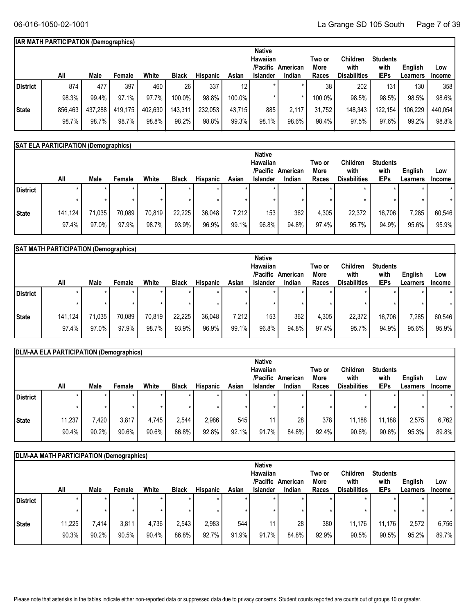#### **IAR MATH PARTICIPATION (Demographics)**

|          |         |         |         |         |              |                 |                 | <b>Native</b>   |          |        |                     |                 |          |               |
|----------|---------|---------|---------|---------|--------------|-----------------|-----------------|-----------------|----------|--------|---------------------|-----------------|----------|---------------|
|          |         |         |         |         |              |                 |                 | Hawaiian        |          | Two or | <b>Children</b>     | <b>Students</b> |          |               |
|          |         |         |         |         |              |                 |                 | /Pacific        | American | More   | with                | with            | English  | Low           |
|          | All     | Male    | Female  | White   | <b>Black</b> | <b>Hispanic</b> | Asian           | <b>Islander</b> | Indian   | Races  | <b>Disabilities</b> | <b>IEPs</b>     | ∟earners | <b>Income</b> |
| District | 874     | 477     | 397     | 460     | 26           | 337             | 12 <sup>°</sup> |                 |          | 38     | 202                 | 131             | 130      | 358           |
|          | 98.3%   | 99.4%   | 97.1%   | 97.7%   | 100.0%       | 98.8%           | 100.0%          |                 |          | 100.0% | 98.5%               | 98.5%           | 98.5%    | 98.6%         |
| State    | 856,463 | 437,288 | 419,175 | 402,630 | 143,311      | 232,053         | 43,715          | 885             | 2,117    | 31,752 | 148,343             | 122,154         | 106,229  | 440,054       |
|          | 98.7%   | 98.7%   | 98.7%   | 98.8%   | 98.2%        | 98.8%           | 99.3%           | 98.1%           | 98.6%    | 98.4%  | 97.5%               | 97.6%           | 99.2%    | 98.8%         |

#### **SAT ELA PARTICIPATION (Demographics)**

|              |         |        |        |        |              |          |         | <b>Native</b>    |          |        |                     |                 |          |               |
|--------------|---------|--------|--------|--------|--------------|----------|---------|------------------|----------|--------|---------------------|-----------------|----------|---------------|
|              |         |        |        |        |              |          |         | Hawaiian         |          | Two or | Children            | <b>Students</b> |          |               |
|              |         |        |        |        |              |          |         | /Pacific         | American | More   | with                | with            | English  | Low           |
|              | All     | Male   | Female | White  | <b>Black</b> | Hispanic | Asian   | <b>Islander</b>  | Indian   | Races  | <b>Disabilities</b> | <b>IEPs</b>     | Learners | <b>Income</b> |
| District     | $\star$ |        |        |        |              | $\star$  | $\star$ |                  |          |        |                     |                 | $\star$  | $\star$       |
|              |         |        |        |        |              |          | $\star$ |                  |          |        |                     |                 |          |               |
| <b>State</b> | 141,124 | 71,035 | 70,089 | 70,819 | 22,225       | 36,048   | 7,212   | 153 <sub>1</sub> | 362      | 4,305  | 22,372              | 16,706          | 7,285    | 60,546        |
|              | 97.4%   | 97.0%  | 97.9%  | 98.7%  | 93.9%        | 96.9%    | 99.1%   | 96.8%            | 94.8%    | 97.4%  | 95.7%               | 94.9%           | 95.6%    | 95.9%         |

| <b>Students</b>     |                                               |
|---------------------|-----------------------------------------------|
|                     |                                               |
|                     |                                               |
| Low                 |                                               |
| <b>Income</b>       |                                               |
|                     | $\star$                                       |
|                     | $\star$                                       |
| 7,285<br>60,546     |                                               |
| 95.6%<br>95.9%      |                                               |
| with<br><b>IEPs</b> | English<br><b>Learners</b><br>16,706<br>94.9% |

|          | DLM-AA ELA PARTICIPATION (Demographics) |       |        |       |              |                 |       |                 |          |        |                     |                 |          |               |
|----------|-----------------------------------------|-------|--------|-------|--------------|-----------------|-------|-----------------|----------|--------|---------------------|-----------------|----------|---------------|
|          |                                         |       |        |       |              |                 |       | <b>Native</b>   |          |        |                     |                 |          |               |
|          |                                         |       |        |       |              |                 |       | Hawaiian        |          | Two or | Children            | <b>Students</b> |          |               |
|          |                                         |       |        |       |              |                 |       | /Pacific        | American | More   | with                | with            | English  | Low           |
|          | All                                     | Male  | Female | White | <b>Black</b> | <b>Hispanic</b> | Asian | <b>Islander</b> | Indian   | Races  | <b>Disabilities</b> | <b>IEPs</b>     | Learners | <b>Income</b> |
| District | $\star$                                 |       | *      |       |              |                 |       | $\star$         |          |        |                     |                 |          | $\star$       |
|          |                                         |       |        |       |              |                 |       |                 |          |        |                     |                 | $\star$  |               |
| State    | 11,237                                  | 7,420 | 3,817  | 4.745 | 2,544        | 2,986           | 545   |                 | 28       | 378    | 11,188              | 11,188          | 2,575    | 6,762         |
|          | 90.4%                                   | 90.2% | 90.6%  | 90.6% | 86.8%        | 92.8%           | 92.1% | 91.7%           | 84.8%    | 92.4%  | 90.6%               | 90.6%           | 95.3%    | 89.8%         |

|                 | DLM-AA MATH PARTICIPATION (Demographics) |         |        |       |              |                 |       |                 |          |        |                     |                 |          |               |
|-----------------|------------------------------------------|---------|--------|-------|--------------|-----------------|-------|-----------------|----------|--------|---------------------|-----------------|----------|---------------|
|                 |                                          |         |        |       |              |                 |       | <b>Native</b>   |          |        |                     |                 |          |               |
|                 |                                          |         |        |       |              |                 |       | Hawaiian        |          | Two or | <b>Children</b>     | <b>Students</b> |          |               |
|                 |                                          |         |        |       |              |                 |       | /Pacific        | American | More   | with                | with            | English  | Low           |
|                 | All                                      | Male    | Female | White | <b>Black</b> | <b>Hispanic</b> | Asian | <b>Islander</b> | Indian   | Races  | <b>Disabilities</b> | <b>IEPs</b>     | Learners | <b>Income</b> |
| <b>District</b> | $\star$                                  | $\star$ |        | ÷     | $\star$      | $\star$         |       | ÷               |          |        |                     | $\star$         |          | $\star$       |
|                 | $\star$                                  | $\star$ |        |       |              | $\star$         |       |                 |          |        |                     | $\star$         |          | $\star$       |
| State           | 11,225                                   | 414.    | 3,811  | 4,736 | 2,543        | 2,983           | 544   | 11              | 28       | 380    | 11,176              | 11,176          | 2,572    | 6,756         |
|                 | 90.3%                                    | 90.2%   | 90.5%  | 90.4% | 86.8%        | 92.7%           | 91.9% | 91.7%           | 84.8%    | 92.9%  | 90.5%               | 90.5%           | 95.2%    | 89.7%         |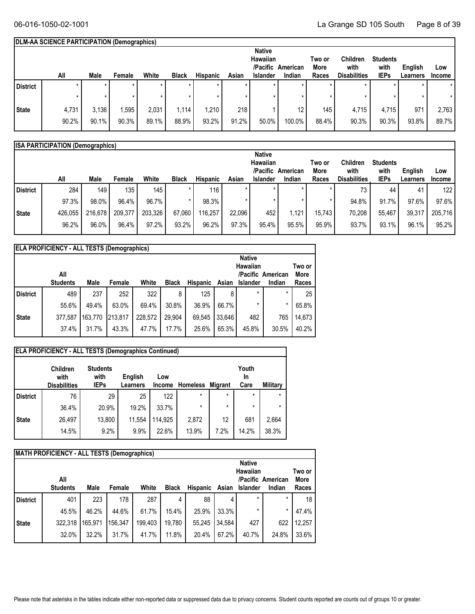#### **DLM-AA SCIENCE PARTICIPATION (Demographics)**

|                 |         |       |         |         |              |                 |       | <b>Native</b>   |          |        |                     |                 |          |               |
|-----------------|---------|-------|---------|---------|--------------|-----------------|-------|-----------------|----------|--------|---------------------|-----------------|----------|---------------|
|                 |         |       |         |         |              |                 |       | Hawaiian        |          | Two or | Children            | <b>Students</b> |          |               |
|                 |         |       |         |         |              |                 |       | /Pacific        | American | More   | with                | with            | English  | Low           |
|                 | All     | Male  | Female  | White   | <b>Black</b> | <b>Hispanic</b> | Asian | <b>Islander</b> | Indian   | Races  | <b>Disabilities</b> | <b>IEPs</b>     | Learners | <b>Income</b> |
| <b>District</b> | $\star$ | ÷     | $\star$ | $\star$ |              |                 |       |                 | $\star$  |        |                     | $\star$         |          | $\star$       |
|                 |         |       |         |         |              |                 |       |                 |          |        |                     | $\star$         |          |               |
| <b>State</b>    | 4,731   | 3,136 | ,595    | 2,031   | 1.114        | 1,210           | 218   |                 | 12       | 145    | 4,715               | 4,715           | 971      | 2,763         |
|                 | 90.2%   | 90.1% | 90.3%   | 89.1%   | 88.9%        | 93.2%           | 91.2% | 50.0%           | 100.0%   | 88.4%  | 90.3%               | 90.3%           | 93.8%    | 89.7%         |

|          | <b>ISA PARTICIPATION (Demographics)</b> |         |         |         |              |          |        |                 |          |        |                     |                 |          |                  |
|----------|-----------------------------------------|---------|---------|---------|--------------|----------|--------|-----------------|----------|--------|---------------------|-----------------|----------|------------------|
|          |                                         |         |         |         |              |          |        | <b>Native</b>   |          |        |                     |                 |          |                  |
|          |                                         |         |         |         |              |          |        | Hawaiian        |          | Two or | <b>Children</b>     | <b>Students</b> |          |                  |
|          |                                         |         |         |         |              |          |        | /Pacific        | American | More   | with                | with            | English  | Low              |
|          | All                                     | Male    | Female  | White   | <b>Black</b> | Hispanic | Asian  | <b>Islander</b> | Indian   | Races  | <b>Disabilities</b> | <b>IEPs</b>     | Learners | <b>Income</b>    |
| District | 284                                     | 149     | 135     | 145     |              | 116      |        |                 |          |        | 73                  | 44              | 41       | 122 <sub>1</sub> |
|          | 97.3%                                   | 98.0%   | 96.4%   | 96.7%   |              | 98.3%    |        |                 |          |        | 94.8%               | 91.7%           | 97.6%    | 97.6%            |
| State    | 426,055                                 | 216,678 | 209,377 | 203,326 | 67,060       | 116,257  | 22,096 | 452             | 1.121    | 15.743 | 70,208              | 55.467          | 39,317   | 205,716          |
|          | 96.2%                                   | 96.0%   | 96.4%   | 97.2%   | 93.2%        | 96.2%    | 97.3%  | 95.4%           | 95.5%    | 95.9%  | 93.7%               | $93.1\%$        | 96.1%    | 95.2%            |

|                 | <b>ELA PROFICIENCY - ALL TESTS (Demographics)</b> |         |         |         |              |                 |        |               |                   |        |  |  |  |
|-----------------|---------------------------------------------------|---------|---------|---------|--------------|-----------------|--------|---------------|-------------------|--------|--|--|--|
|                 |                                                   |         |         |         |              |                 |        | <b>Native</b> |                   |        |  |  |  |
|                 | Hawaiian<br>Two or                                |         |         |         |              |                 |        |               |                   |        |  |  |  |
|                 | All                                               |         |         |         |              |                 |        |               | /Pacific American | More   |  |  |  |
|                 | <b>Students</b>                                   | Male    | Female  | White   | <b>Black</b> | <b>Hispanic</b> | Asian  | Islander      | Indian            | Races  |  |  |  |
| <b>District</b> | 489                                               | 237     | 252     | 322     | 8            | 125             | 8      | $\star$       | $\star$           | 25     |  |  |  |
|                 | 55.6%                                             | 49.4%   | 63.0%   | 69.4%   | 30.8%        | 36.9%           | 66.7%  | $\star$       | $\star$           | 65.8%  |  |  |  |
| <b>State</b>    | 377,587                                           | 163.770 | 213.817 | 228.572 | 29.904       | 69.545          | 33.646 | 482           | 765               | 14,673 |  |  |  |
|                 | 37.4%                                             | 31.7%   | 43.3%   | 47.7%   | 17.7%        | 25.6%           | 65.3%  | 45.8%         | 30.5%             | 40.2%  |  |  |  |

| <b>ELA PROFICIENCY - ALL TESTS (Demographics Continued)</b> |                                                |                                        |                     |                      |                  |         |                            |          |  |  |  |  |
|-------------------------------------------------------------|------------------------------------------------|----------------------------------------|---------------------|----------------------|------------------|---------|----------------------------|----------|--|--|--|--|
|                                                             | <b>Children</b><br>with<br><b>Disabilities</b> | <b>Students</b><br>with<br><b>IEPs</b> | English<br>Learners | Low<br><b>Income</b> | Homeless Migrant |         | Youth<br><b>In</b><br>Care | Military |  |  |  |  |
| <b>District</b>                                             | 76                                             | 29                                     | 25                  | 122                  | $\star$          | $\star$ | $\star$                    | $\star$  |  |  |  |  |
|                                                             | 36.4%                                          | 20.9%                                  | 19.2%               | 33.7%                | $\star$          | $\star$ | $\star$                    | *        |  |  |  |  |
| <b>State</b>                                                | 26,497                                         | 13,800                                 | 11,554              | 114,925              | 2,872            | 12      | 681                        | 2,664    |  |  |  |  |
|                                                             | 14.5%                                          | 9.2%                                   | 9.9%                | 22.6%                | 13.9%            | 7.2%    | 14.2%                      | 38.3%    |  |  |  |  |

|                 | <b>MATH PROFICIENCY - ALL TESTS (Demographics)</b>    |         |         |         |              |                 |        |          |         |               |  |  |
|-----------------|-------------------------------------------------------|---------|---------|---------|--------------|-----------------|--------|----------|---------|---------------|--|--|
|                 | <b>Native</b><br>Hawaiian<br>All<br>/Pacific American |         |         |         |              |                 |        |          |         |               |  |  |
|                 | <b>Students</b>                                       | Male    | Female  | White   | <b>Black</b> | <b>Hispanic</b> | Asian  | Islander | Indian  | More<br>Races |  |  |
| <b>District</b> | 401                                                   | 223     | 178     | 287     | 4            | 88              | 4      | $\star$  | *       | 18            |  |  |
|                 | 45.5%                                                 | 46.2%   | 44.6%   | 61.7%   | 15.4%        | 25.9%           | 33.3%  | *        | $\star$ | 47.4%         |  |  |
| <b>State</b>    | 322,318                                               | 165,971 | 156.347 | 199.403 | 19.780       | 55.245          | 34.584 | 427      | 622     | 12,257        |  |  |
|                 | 32.0%                                                 | 32.2%   | 31.7%   | 41.7%   | 11.8%        | 20.4%           | 67.2%  | 40.7%    | 24.8%   | 33.6%         |  |  |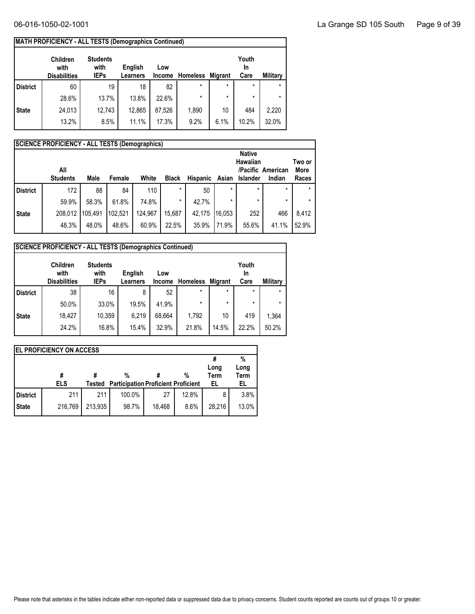| MATH PROFICIENCY - ALL TESTS (Demographics Continued) |
|-------------------------------------------------------|
|                                                       |

| English | Low      |               |                 | Youth<br>In    |                 |
|---------|----------|---------------|-----------------|----------------|-----------------|
|         |          |               |                 |                | <b>Military</b> |
| 18      | 82       | $\star$       | $\star$         | $\star$        | $\star$         |
| 13.8%   | 22.6%    | $\star$       | $\star$         | $\star$        | $\star$         |
| 12,865  | 87.526   | 1,890         | 10              | 484            | 2,220           |
| 11.1%   | 17.3%    | 9.2%          | 6.1%            | 10.2%          | 32.0%           |
|         | Learners | <b>Income</b> | <b>Homeless</b> | <b>Migrant</b> | Care            |

|                 | <b>SCIENCE PROFICIENCY - ALL TESTS (Demographics)</b>      |         |         |         |              |          |         |                 |         |        |  |  |
|-----------------|------------------------------------------------------------|---------|---------|---------|--------------|----------|---------|-----------------|---------|--------|--|--|
|                 |                                                            |         |         |         |              |          |         | <b>Native</b>   |         | Two or |  |  |
|                 | <b>Hawaiian</b><br>All<br><b>More</b><br>/Pacific American |         |         |         |              |          |         |                 |         |        |  |  |
|                 | <b>Students</b>                                            | Male    | Female  | White   | <b>Black</b> | Hispanic | Asian   | <b>Islander</b> | Indian  | Races  |  |  |
| <b>District</b> | 172                                                        | 88      | 84      | 110     | $\star$      | 50       | $\star$ | $\star$         | $\star$ |        |  |  |
|                 | 59.9%                                                      | 58.3%   | 61.8%   | 74.8%   | $\star$      | 42.7%    |         | $\star$         | $\star$ |        |  |  |
| <b>State</b>    | 208,012                                                    | 105,491 | 102,521 | 124,967 | 15,687       | 42,175   | 116.053 | 252             | 466     | 8,412  |  |  |
|                 | 48.3%                                                      | 48.0%   | 48.6%   | 60.9%   | 22.5%        | 35.9%    | 71.9%   | 55.6%           | 41.1%   | 52.9%  |  |  |

|                 | <b>SCIENCE PROFICIENCY - ALL TESTS (Demographics Continued)</b> |                                        |                     |                      |                 |                |                            |          |
|-----------------|-----------------------------------------------------------------|----------------------------------------|---------------------|----------------------|-----------------|----------------|----------------------------|----------|
|                 | Children<br>with<br><b>Disabilities</b>                         | <b>Students</b><br>with<br><b>IEPs</b> | English<br>Learners | Low<br><b>Income</b> | <b>Homeless</b> | <b>Migrant</b> | Youth<br><b>In</b><br>Care | Military |
| <b>District</b> | 38                                                              | 16                                     | 8                   | 52                   | $\star$         | $\star$        | $\star$                    |          |
|                 | 50.0%                                                           | 33.0%                                  | 19.5%               | 41.9%                | $\star$         | $\star$        | $\star$                    | $\star$  |
| <b>State</b>    | 18.427                                                          | 10.359                                 | 6.219               | 68,664               | 1.792           | 10             | 419                        | 1,364    |
|                 | 24.2%                                                           | 16.8%                                  | 15.4%               | 32.9%                | 21.8%           | 14.5%          | 22.2%                      | 50.2%    |

|                 | <b>EL PROFICIENCY ON ACCESS</b> |         |                                            |        |       |                     |              |  |  |  |  |  |  |  |
|-----------------|---------------------------------|---------|--------------------------------------------|--------|-------|---------------------|--------------|--|--|--|--|--|--|--|
|                 |                                 |         |                                            |        |       |                     | %            |  |  |  |  |  |  |  |
|                 | #                               |         | %                                          |        | $\%$  | Long<br><b>Term</b> | Long<br>Term |  |  |  |  |  |  |  |
|                 |                                 |         |                                            |        |       |                     |              |  |  |  |  |  |  |  |
|                 | ELS                             | Tested  | <b>Participation Proficient Proficient</b> |        |       | EL                  | EL           |  |  |  |  |  |  |  |
| <b>District</b> | 211                             | 211     | 100.0%                                     | 27     | 12.8% | 8                   | 3.8%         |  |  |  |  |  |  |  |
| <b>State</b>    | 216,769                         | 213,935 | 98.7%                                      | 18.468 | 8.6%  | 28,216              | 13.0%        |  |  |  |  |  |  |  |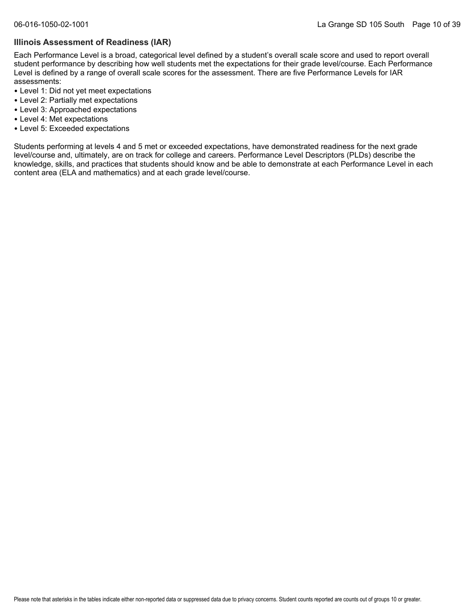#### **Illinois Assessment of Readiness (IAR)**

Each Performance Level is a broad, categorical level defined by a student's overall scale score and used to report overall student performance by describing how well students met the expectations for their grade level/course. Each Performance Level is defined by a range of overall scale scores for the assessment. There are five Performance Levels for IAR assessments:

- Level 1: Did not yet meet expectations
- Level 2: Partially met expectations
- Level 3: Approached expectations
- Level 4: Met expectations
- Level 5: Exceeded expectations

Students performing at levels 4 and 5 met or exceeded expectations, have demonstrated readiness for the next grade level/course and, ultimately, are on track for college and careers. Performance Level Descriptors (PLDs) describe the knowledge, skills, and practices that students should know and be able to demonstrate at each Performance Level in each content area (ELA and mathematics) and at each grade level/course.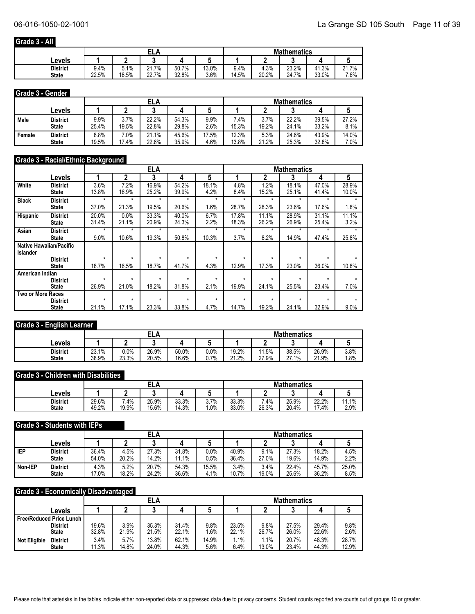## **Grade 3 - All**

|                 |       |       | EL.   |       |       | <b>Mathematics</b> |       |       |       |       |
|-----------------|-------|-------|-------|-------|-------|--------------------|-------|-------|-------|-------|
| Levels          |       |       |       |       |       |                    |       |       |       |       |
| <b>District</b> | 9.4%  | 5.1%  | 21.7% | 50.7% | 13.0% | 9.4%               | 4.3%  | 23.2% | 41.3% | 21.7% |
| <b>State</b>    | 22.5% | 18.5% | 22.7% | 32.8% | 3.6%  | 14.5%              | 20.2% | 24.7% | 33.0% | 7.6%  |

#### **Grade 3 - Gender**

|        |              |       |       | ELA   |       |       | <b>Mathematics</b> |       |       |       |       |
|--------|--------------|-------|-------|-------|-------|-------|--------------------|-------|-------|-------|-------|
|        | ∟evels       |       |       | ◠     |       |       |                    |       |       |       |       |
| Male   | District     | 9.9%  | 3.7%  | 22.2% | 54.3% | 9.9%  | $.4\%$             | 3.7%  | 22.2% | 39.5% | 27.2% |
|        | <b>State</b> | 25.4% | 19.5% | 22.8% | 29.8% | 2.6%  | 15.3%              | 19.2% | 24.1% | 33.2% | 8.1%  |
| Female | District     | 8.8%  | 7.0%  | 21.1% | 45.6% | 17.5% | 12.3%              | 5.3%  | 24.6% | 43.9% | 14.0% |
|        | <b>State</b> | 19.5% | 17.4% | 22.6% | 35.9% | 4.6%  | 13.8%              | 21.2% | 25.3% | 32.8% | 7.0%  |

#### **Grade 3 - Racial/Ethnic Background**

|                          |                                |         |         | <b>ELA</b> |         |         |         |         | <b>Mathematics</b> |         |       |
|--------------------------|--------------------------------|---------|---------|------------|---------|---------|---------|---------|--------------------|---------|-------|
|                          | Levels                         |         | 2       | 3          | 4       | 5       |         |         | 3                  | 4       | 5     |
| White                    | <b>District</b>                | 3.6%    | 7.2%    | 16.9%      | 54.2%   | 18.1%   | 4.8%    | 1.2%    | 18.1%              | 47.0%   | 28.9% |
|                          | <b>State</b>                   | 13.8%   | 16.9%   | 25.2%      | 39.9%   | 4.2%    | 8.4%    | 15.2%   | 25.1%              | 41.4%   | 10.0% |
| <b>Black</b>             | <b>District</b>                | $\star$ | $\star$ | $\star$    | $\star$ | $\star$ | $\star$ | $\star$ | $\star$            | $\star$ | ÷     |
|                          | <b>State</b>                   | 37.0%   | 21.3%   | 19.5%      | 20.6%   | 1.6%    | 28.7%   | 28.3%   | 23.6%              | 17.6%   | 1.8%  |
| Hispanic                 | <b>District</b>                | 20.0%   | 0.0%    | 33.3%      | 40.0%   | 6.7%    | 17.8%   | 11.1%   | 28.9%              | 31.1%   | 11.1% |
|                          | <b>State</b>                   | 31.4%   | 21.1%   | 20.9%      | 24.3%   | 2.2%    | 18.3%   | 26.2%   | 26.9%              | 25.4%   | 3.2%  |
| Asian                    | <b>District</b>                | $\star$ | $\star$ | $\star$    | $\star$ | *       | $\star$ | $\star$ | $\star$            | $\star$ |       |
|                          | <b>State</b>                   | 9.0%    | 10.6%   | 19.3%      | 50.8%   | 10.3%   | 3.7%    | 8.2%    | 14.9%              | 47.4%   | 25.8% |
|                          | <b>Native Hawaiian/Pacific</b> |         |         |            |         |         |         |         |                    |         |       |
| <b>Islander</b>          |                                |         |         |            |         |         |         |         |                    |         |       |
|                          | <b>District</b>                | $\star$ | $\star$ | $\star$    | $\star$ | $\star$ | $\star$ | $\star$ | $\star$            | $\star$ |       |
|                          | <b>State</b>                   | 18.7%   | 16.5%   | 18.7%      | 41.7%   | 4.3%    | 12.9%   | 17.3%   | 23.0%              | 36.0%   | 10.8% |
| American Indian          |                                |         |         |            |         |         |         |         |                    |         |       |
|                          | <b>District</b>                | $\star$ | $\star$ | $\star$    | $\star$ | $\star$ | ÷       | ÷       | ÷                  | ÷       |       |
|                          | <b>State</b>                   | 26.9%   | 21.0%   | 18.2%      | 31.8%   | 2.1%    | 19.9%   | 24.1%   | 25.5%              | 23.4%   | 7.0%  |
| <b>Two or More Races</b> |                                | $\star$ | $\star$ | $\star$    | $\star$ | $\star$ | $\star$ | $\star$ | $\star$            |         |       |
|                          | <b>District</b>                |         |         |            |         |         |         |         |                    |         |       |
|                          | <b>State</b>                   | 21.1%   | 17.1%   | 23.3%      | 33.8%   | 4.7%    | 14.7%   | 19.2%   | 24.1%              | 32.9%   | 9.0%  |

#### **Grade 3 - English Learner**

|                                 |                |                  | ELA            |                |               | <b>Mathematics</b> |                |                |                                   |                |
|---------------------------------|----------------|------------------|----------------|----------------|---------------|--------------------|----------------|----------------|-----------------------------------|----------------|
| Levels                          |                |                  |                |                |               |                    |                |                |                                   |                |
| <b>District</b><br><b>State</b> | 23.1%<br>38.9% | $0.0\%$<br>23.3% | 26.9%<br>20.5% | 50.0%<br>16.6% | $0.0\%$<br>7% | 19.2%<br>21.2%     | 11.5%<br>27.9% | 38.5%<br>27.1% | 26.9%<br>.9%<br>$\mathbf{a}$<br>L | 3.8%<br>$.8\%$ |

#### **Grade 3 - Children with Disabilities**

|                                 |                |               | ELA            |                |                | <b>Mathematics</b> |                 |                |                |               |  |
|---------------------------------|----------------|---------------|----------------|----------------|----------------|--------------------|-----------------|----------------|----------------|---------------|--|
| Levels                          |                |               |                |                |                |                    |                 |                |                |               |  |
| <b>District</b><br><b>State</b> | 29.6%<br>49.2% | 7.4%<br>19.9% | 25.9%<br>15.6% | 33.3%<br>14.3% | 3.7%<br>$.0\%$ | 33.3%<br>33.0%     | $.4\%$<br>26.3% | 25.9%<br>20.4% | 22.2%<br>17.4% | 11.1%<br>2.9% |  |

#### **Grade 3 - Students with IEPs**

|         |                 |       |       | ELA   |       |       |       |       | <b>Mathematics</b> |       |       |
|---------|-----------------|-------|-------|-------|-------|-------|-------|-------|--------------------|-------|-------|
|         | ∟evels          |       |       |       |       |       |       |       |                    |       |       |
| IEP     | <b>District</b> | 36.4% | 4.5%  | 27.3% | 31.8% | 0.0%  | 40.9% | 9.1%  | 27.3%              | 18.2% | 4.5%  |
|         | <b>State</b>    | 54.0% | 20.2% | 14.2% | 11.1% | 0.5%  | 36.4% | 27.0% | 19.6%              | 14.9% | 2.2%  |
| Non-IEP | <b>District</b> | 4.3%  | 5.2%  | 20.7% | 54.3% | 15.5% | 3.4%  | 3.4%  | 22.4%              | 45.7% | 25.0% |
|         | <b>State</b>    | 17.0% | 18.2% | 24.2% | 36.6% | 4.1%  | 10.7% | 19.0% | 25.6%              | 36.2% | 8.5%  |

#### **Grade 3 - Economically Disadvantaged**

|                                        |       |       | ELA   |       |       | <b>Mathematics</b> |         |       |       |       |
|----------------------------------------|-------|-------|-------|-------|-------|--------------------|---------|-------|-------|-------|
| Levels                                 |       |       |       |       |       |                    |         |       |       |       |
| <b>Free/Reduced Price Lunch</b>        |       |       |       |       |       |                    |         |       |       |       |
| <b>District</b>                        | 19.6% | 3.9%  | 35.3% | 31.4% | 9.8%  | 23.5%              | 9.8%    | 27.5% | 29.4% | 9.8%  |
| <b>State</b>                           | 32.8% | 21.9% | 21.5% | 22.1% | 1.6%  | 22.1%              | 26.7%   | 26.0% | 22.6% | 2.6%  |
| <b>Not Eligible</b><br><b>District</b> | 3.4%  | 5.7%  | 13.8% | 62.1% | 14.9% | 1.1%               | $1.1\%$ | 20.7% | 48.3% | 28.7% |
| <b>State</b>                           | 11.3% | 14.8% | 24.0% | 44.3% | 5.6%  | 6.4%               | 13.0%   | 23.4% | 44.3% | 12.9% |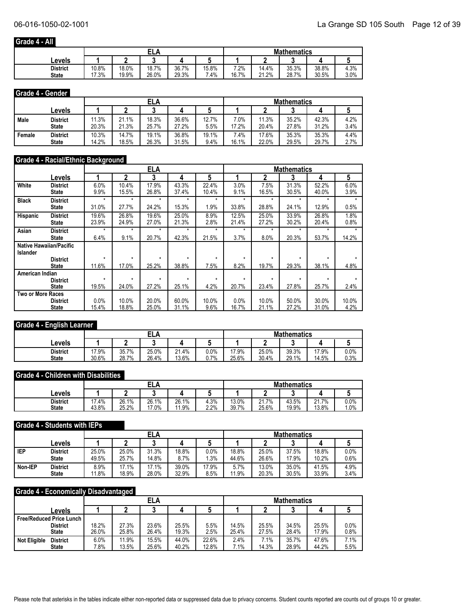## **Grade 4 - All**

|              |       | ELA<br>15.8%<br>18.7%<br>36.7%<br>18.0% |       |       |        |       | <b>Mathematics</b> |       |       |      |  |
|--------------|-------|-----------------------------------------|-------|-------|--------|-------|--------------------|-------|-------|------|--|
| Levels       |       |                                         |       |       |        |       |                    |       |       |      |  |
| District     | 10.8% |                                         |       |       |        | $2\%$ | 14.4%              | 35.3% | 38.8% | 4.3% |  |
| <b>State</b> | 17.3% | 19.9%                                   | 26.0% | 29.3% | $.4\%$ | 16.7% | 21.2%              | 28.7% | 30.5% | 3.0% |  |

#### **Grade 4 - Gender**

|        |              |       |       | ELA   |       |       |        |       | <b>Mathematics</b> |       |      |
|--------|--------------|-------|-------|-------|-------|-------|--------|-------|--------------------|-------|------|
|        | ∟evels       |       |       | ◠     |       |       |        |       |                    |       |      |
| Male   | District     | 11.3% | 21.1% | 18.3% | 36.6% | 12.7% | $.0\%$ | 11.3% | 35.2%              | 42.3% | 4.2% |
|        | <b>State</b> | 20.3% | 21.3% | 25.7% | 27.2% | 5.5%  | 17.2%  | 20.4% | 27.8%              | 31.2% | 3.4% |
| Female | District     | 10.3% | 14.7% | 19.1% | 36.8% | 19.1% | $.4\%$ | 17.6% | 35.3%              | 35.3% | 4.4% |
|        | <b>State</b> | 14.2% | 18.5% | 26.3% | 31.5% | 9.4%  | 16.1%  | 22.0% | 29.5%              | 29.7% | 2.7% |

## **Grade 4 - Racial/Ethnic Background**

|                          |                                |         |         | <b>ELA</b> |         |         |         | <b>Mathematics</b><br>5<br>3<br>4 |         |         |       |
|--------------------------|--------------------------------|---------|---------|------------|---------|---------|---------|-----------------------------------|---------|---------|-------|
|                          | Levels                         |         | 2       | 3          | 4       | 5       |         |                                   |         |         |       |
| White                    | <b>District</b>                | 6.0%    | 10.4%   | 17.9%      | 43.3%   | 22.4%   | 3.0%    | 7.5%                              | 31.3%   | 52.2%   | 6.0%  |
|                          | <b>State</b>                   | 9.9%    | 15.5%   | 26.8%      | 37.4%   | 10.4%   | 9.1%    | 16.5%                             | 30.5%   | 40.0%   | 3.9%  |
| <b>Black</b>             | <b>District</b>                | $\star$ | $\star$ | $\star$    | $\star$ | $\star$ | $\star$ | $\star$                           | $\star$ | $\star$ | ÷     |
|                          | <b>State</b>                   | 31.0%   | 27.7%   | 24.2%      | 15.3%   | 1.9%    | 33.8%   | 28.8%                             | 24.1%   | 12.9%   | 0.5%  |
| Hispanic                 | <b>District</b>                | 19.6%   | 26.8%   | 19.6%      | 25.0%   | 8.9%    | 12.5%   | 25.0%                             | 33.9%   | 26.8%   | 1.8%  |
|                          | <b>State</b>                   | 23.9%   | 24.9%   | 27.0%      | 21.3%   | 2.8%    | 21.4%   | 27.2%                             | 30.2%   | 20.4%   | 0.8%  |
| Asian                    | <b>District</b>                | $\star$ | $\star$ | $\star$    | $\star$ | ÷       | *       | $\star$                           | $\star$ | $\star$ |       |
|                          | <b>State</b>                   | 6.4%    | 9.1%    | 20.7%      | 42.3%   | 21.5%   | 3.7%    | 8.0%                              | 20.3%   | 53.7%   | 14.2% |
|                          | <b>Native Hawaiian/Pacific</b> |         |         |            |         |         |         |                                   |         |         |       |
| <b>Islander</b>          |                                |         |         |            |         |         |         |                                   |         |         |       |
|                          | <b>District</b>                | $\star$ | $\star$ | $\star$    | $\star$ | $\star$ | $\star$ | $\star$                           | $\star$ | $\star$ |       |
|                          | <b>State</b>                   | 11.6%   | 17.0%   | 25.2%      | 38.8%   | 7.5%    | 8.2%    | 19.7%                             | 29.3%   | 38.1%   | 4.8%  |
| American Indian          |                                |         |         |            |         |         |         |                                   |         |         |       |
|                          | <b>District</b>                | $\star$ | $\star$ | $\star$    | ۰       | $\star$ | ÷       | $\star$                           | ÷       | ÷       |       |
|                          | <b>State</b>                   | 19.5%   | 24.0%   | 27.2%      | 25.1%   | 4.2%    | 20.7%   | 23.4%                             | 27.8%   | 25.7%   | 2.4%  |
| <b>Two or More Races</b> |                                |         |         |            |         |         |         |                                   |         |         |       |
|                          | <b>District</b>                | 0.0%    | 10.0%   | 20.0%      | 60.0%   | 10.0%   | 0.0%    | 10.0%                             | 50.0%   | 30.0%   | 10.0% |
|                          | <b>State</b>                   | 15.4%   | 18.8%   | 25.0%      | 31.1%   | 9.6%    | 16.7%   | 21.1%                             | 27.2%   | 31.0%   | 4.2%  |

#### **Grade 4 - English Learner**

|                                 |                |                | ELA            |                |               | <b>Mathematics</b> |                |                |                |              |  |
|---------------------------------|----------------|----------------|----------------|----------------|---------------|--------------------|----------------|----------------|----------------|--------------|--|
| Levels                          |                |                |                |                |               |                    |                |                |                |              |  |
| <b>District</b><br><b>State</b> | 17.9%<br>30.6% | 35.7%<br>28.7% | 25.0%<br>26.4% | 21.4%<br>13.6% | $0.0\%$<br>7% | '7.9%<br>25.6%     | 25.0%<br>30.4% | 39.3%<br>29.1% | 17.9%<br>14.5% | 0.0%<br>0.3% |  |

#### **Grade 4 - Children with Disabilities**

|                                 |                |                | <b>ELA</b>     |                |              | <b>Mathematics</b> |                                         |                |                |              |  |
|---------------------------------|----------------|----------------|----------------|----------------|--------------|--------------------|-----------------------------------------|----------------|----------------|--------------|--|
| Levels                          |                |                |                |                |              |                    |                                         |                |                |              |  |
| <b>District</b><br><b>State</b> | 17.4%<br>43.8% | 26.1%<br>25.2% | 26.1%<br>17.0% | 26.1%<br>11.9% | 4.3%<br>2.2% | 13.0%<br>39.7%     | $.7\%$<br>$\mathsf{A}$<br>21.I<br>25.6% | 43.5%<br>19.9% | 21.7%<br>13.8% | 0.0%<br>1.0% |  |

#### **Grade 4 - Students with IEPs**

|         |                 |       |       | ELA   |       |       | <b>Mathematics</b> |       |       |       |      |
|---------|-----------------|-------|-------|-------|-------|-------|--------------------|-------|-------|-------|------|
|         | ∟evels          |       |       |       |       |       |                    |       |       |       |      |
| IEP     | <b>District</b> | 25.0% | 25.0% | 31.3% | 18.8% | 0.0%  | 18.8%              | 25.0% | 37.5% | 18.8% | 0.0% |
|         | <b>State</b>    | 49.5% | 25.7% | 14.8% | 8.7%  | .3%   | 44.6%              | 26.6% | 17.9% | 10.2% | 0.6% |
| Non-IEP | <b>District</b> | 8.9%  | 17.1% | 17.1% | 39.0% | 17.9% | 5.7%               | 13.0% | 35.0% | 41.5% | 4.9% |
|         | <b>State</b>    | 11.8% | 18.9% | 28.0% | 32.9% | 8.5%  | 11.9%              | 20.3% | 30.5% | 33.9% | 3.4% |

#### **Grade 4 - Economically Disadvantaged**

|                                        |       |       | ELA   |       |       |       |       | <b>Mathematics</b> |       |         |
|----------------------------------------|-------|-------|-------|-------|-------|-------|-------|--------------------|-------|---------|
| Levels                                 |       |       |       |       |       |       |       |                    |       |         |
| <b>Free/Reduced Price Lunch</b>        |       |       |       |       |       |       |       |                    |       |         |
| <b>District</b>                        | 18.2% | 27.3% | 23.6% | 25.5% | 5.5%  | 14.5% | 25.5% | 34.5%              | 25.5% | $0.0\%$ |
| <b>State</b>                           | 26.0% | 25.8% | 26.4% | 19.3% | 2.5%  | 25.4% | 27.5% | 28.4%              | 17.9% | 0.8%    |
| <b>Not Eligible</b><br><b>District</b> | 6.0%  | 11.9% | 15.5% | 44.0% | 22.6% | 2.4%  | 7.1%  | 35.7%              | 47.6% | 7.1%    |
| <b>State</b>                           | 7.8%  | 13.5% | 25.6% | 40.2% | 12.8% | 7.1%  | 14.3% | 28.9%              | 44.2% | 5.5%    |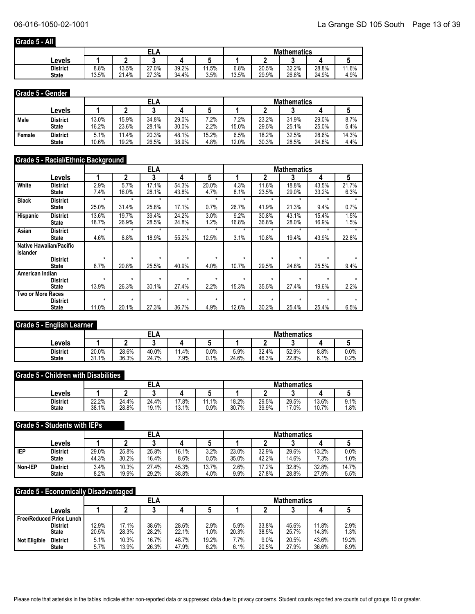#### **Grade 5 - All**

|                 |            | EL,<br>$\overline{A}$ |       |       |      |       | <b>Mathematics</b> |       |       |       |  |
|-----------------|------------|-----------------------|-------|-------|------|-------|--------------------|-------|-------|-------|--|
| Levels          |            |                       |       |       |      |       |                    |       |       |       |  |
| <b>District</b> | 8.8%       | 13.5%                 | 27.0% | 39.2% | 1.5% | 6.8%  | 20.5%              | 32.2% | 28.8% | 11.6% |  |
| <b>State</b>    | 13.5%<br>៱ | 21.4%                 | 27.3% | 34.4% | 3.5% | 13.5% | 29.9%              | 26.8% | 24.9% | 4.9%  |  |

#### **Grade 5 - Gender**

|        |              |       |       | ELA   |       |       |       |       | <b>Mathematics</b> |       |       |
|--------|--------------|-------|-------|-------|-------|-------|-------|-------|--------------------|-------|-------|
|        | ∟evels       |       |       | n     |       |       |       |       |                    |       |       |
| Male   | District     | 13.0% | 15.9% | 34.8% | 29.0% | $2\%$ | $2\%$ | 23.2% | 31.9%              | 29.0% | 8.7%  |
|        | <b>State</b> | 16.2% | 23.6% | 28.1% | 30.0% | 2.2%  | 15.0% | 29.5% | 25.1%              | 25.0% | 5.4%  |
| Female | District     | 5.1%  | 11.4% | 20.3% | 48.1% | 15.2% | 6.5%  | 18.2% | 32.5%              | 28.6% | 14.3% |
|        | <b>State</b> | 10.6% | 19.2% | 26.5% | 38.9% | 4.8%  | 12.0% | 30.3% | 28.5%              | 24.8% | 4.4%  |

#### **Grade 5 - Racial/Ethnic Background**

|                          |                                |         |         | <b>ELA</b> |         |         |         |         | <b>Mathematics</b> |         |       |
|--------------------------|--------------------------------|---------|---------|------------|---------|---------|---------|---------|--------------------|---------|-------|
|                          | Levels                         |         | 2       | 3          | 4       | 5       |         |         | 3                  | 4       | 5     |
| White                    | <b>District</b>                | 2.9%    | 5.7%    | 17.1%      | 54.3%   | 20.0%   | 4.3%    | 11.6%   | 18.8%              | 43.5%   | 21.7% |
|                          | <b>State</b>                   | 7.4%    | 16.0%   | 28.1%      | 43.8%   | 4.7%    | 8.1%    | 23.5%   | 29.0%              | 33.2%   | 6.3%  |
| <b>Black</b>             | <b>District</b>                | $\star$ | $\star$ | $\star$    | $\star$ | $\star$ | $\star$ | $\star$ | $\star$            | $\star$ | ÷     |
|                          | <b>State</b>                   | 25.0%   | 31.4%   | 25.8%      | 17.1%   | 0.7%    | 26.7%   | 41.9%   | 21.3%              | 9.4%    | 0.7%  |
| Hispanic                 | <b>District</b>                | 13.6%   | 19.7%   | 39.4%      | 24.2%   | 3.0%    | 9.2%    | 30.8%   | 43.1%              | 15.4%   | 1.5%  |
|                          | <b>State</b>                   | 18.7%   | 26.9%   | 28.5%      | 24.8%   | 1.2%    | 16.8%   | 36.8%   | 28.0%              | 16.9%   | 1.5%  |
| Asian                    | <b>District</b>                | $\star$ | $\star$ | $\star$    | $\star$ | *       | *       | $\star$ | $\star$            | $\star$ |       |
|                          | <b>State</b>                   | 4.6%    | 8.8%    | 18.9%      | 55.2%   | 12.5%   | 3.1%    | 10.8%   | 19.4%              | 43.9%   | 22.8% |
|                          | <b>Native Hawaiian/Pacific</b> |         |         |            |         |         |         |         |                    |         |       |
| <b>Islander</b>          |                                |         |         |            |         |         |         |         |                    |         |       |
|                          | <b>District</b>                | $\star$ | $\star$ | $\star$    | $\star$ | $\star$ | $\star$ | $\star$ | $\star$            | $\star$ |       |
|                          | <b>State</b>                   | 8.7%    | 20.8%   | 25.5%      | 40.9%   | 4.0%    | 10.7%   | 29.5%   | 24.8%              | 25.5%   | 9.4%  |
| American Indian          |                                |         |         |            |         |         |         |         |                    |         |       |
|                          | <b>District</b>                | $\star$ | $\star$ | $\star$    | $\star$ | ÷       | ÷       | ÷       | ÷                  | ÷       |       |
|                          | <b>State</b>                   | 13.9%   | 26.3%   | 30.1%      | 27.4%   | 2.2%    | 15.3%   | 35.5%   | 27.4%              | 19.6%   | 2.2%  |
| <b>Two or More Races</b> |                                |         |         |            |         |         |         |         |                    |         |       |
|                          | <b>District</b>                | $\star$ | $\star$ | $\star$    | $\star$ | ÷       | $\star$ | $\star$ | $\star$            |         |       |
|                          | <b>State</b>                   | 11.0%   | 20.1%   | 27.3%      | 36.7%   | 4.9%    | 12.6%   | 30.2%   | 25.4%              | 25.4%   | 6.5%  |

#### **Grade 5 - English Learner**

|                                 |                |                | ELA            |                |                    | <b>Mathematics</b> |                |                |              |              |  |
|---------------------------------|----------------|----------------|----------------|----------------|--------------------|--------------------|----------------|----------------|--------------|--------------|--|
| Levels                          |                |                |                |                |                    |                    |                |                |              |              |  |
| <b>District</b><br><b>State</b> | 20.0%<br>31.1% | 28.6%<br>36.3% | 40.0%<br>24.7% | $.4\%$<br>7.9% | $0.0\%$<br>$7.1\%$ | 5.9%<br>24.6%      | 32.4%<br>46.3% | 52.9%<br>22.8% | 8.8%<br>6.1% | 0.0%<br>0.2% |  |

#### **Grade 5 - Children with Disabilities**

|                                 |                |                | <b>ELA</b>     |                |              | <b>Mathematics</b> |                |                |                |              |  |
|---------------------------------|----------------|----------------|----------------|----------------|--------------|--------------------|----------------|----------------|----------------|--------------|--|
| Levels                          |                |                |                |                |              |                    |                |                |                |              |  |
| <b>District</b><br><b>State</b> | 22.2%<br>38.1% | 24.4%<br>28.8% | 24.4%<br>19.1% | 17.8%<br>13.1% | 1.1%<br>0.9% | 18.2%<br>30.7%     | 29.5%<br>39.9% | 29.5%<br>17.0% | 13.6%<br>10.7% | 9.1%<br>1.8% |  |

#### **Grade 5 - Students with IEPs**

|         |                 |       |       | ELA   |       |       |       |       | <b>Mathematics</b> |       |         |
|---------|-----------------|-------|-------|-------|-------|-------|-------|-------|--------------------|-------|---------|
|         | ∟evels          |       |       |       |       |       |       |       |                    |       |         |
| IEP     | <b>District</b> | 29.0% | 25.8% | 25.8% | 16.1% | 3.2%  | 23.0% | 32.9% | 29.6%              | 13.2% | $0.0\%$ |
|         | <b>State</b>    | 44.3% | 30.2% | 16.4% | 8.6%  | 0.5%  | 35.0% | 42.2% | 14.6%              | 7.3%  | 1.0%    |
| Non-IEP | <b>District</b> | 3.4%  | 10.3% | 27.4% | 45.3% | 13.7% | 2.6%  | 17.2% | 32.8%              | 32.8% | 14.7%   |
|         | <b>State</b>    | 8.2%  | 19.9% | 29.2% | 38.8% | 4.0%  | 9.9%  | 27.8% | 28.8%              | 27.9% | 5.5%    |

#### **Grade 5 - Economically Disadvantaged**

|                                        |  |       |       | ELA   |       |       | <b>Mathematics</b> |       |       |       |       |  |
|----------------------------------------|--|-------|-------|-------|-------|-------|--------------------|-------|-------|-------|-------|--|
| Levels                                 |  |       |       |       |       |       |                    |       |       |       |       |  |
| <b>Free/Reduced Price Lunch</b>        |  |       |       |       |       |       |                    |       |       |       |       |  |
| <b>District</b>                        |  | 12.9% | 17.1% | 38.6% | 28.6% | 2.9%  | 5.9%               | 33.8% | 45.6% | 11.8% | 2.9%  |  |
| <b>State</b>                           |  | 20.5% | 28.3% | 28.2% | 22.1% | 1.0%  | 20.3%              | 38.5% | 25.7% | 14.3% | 1.3%  |  |
| <b>Not Eligible</b><br><b>District</b> |  | 5.1%  | 10.3% | 16.7% | 48.7% | 19.2% | 7.7%               | 9.0%  | 20.5% | 43.6% | 19.2% |  |
| <b>State</b>                           |  | 5.7%  | 13.9% | 26.3% | 47.9% | 6.2%  | 6.1%               | 20.5% | 27.9% | 36.6% | 8.9%  |  |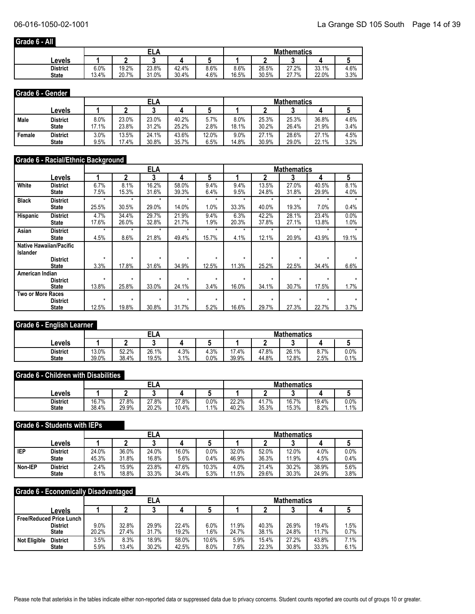#### **Grade 6 - All**

|              |       |       | ELA   |       |      | <b>Mathematics</b> |       |       |       |      |  |
|--------------|-------|-------|-------|-------|------|--------------------|-------|-------|-------|------|--|
| ∟evels       |       |       |       |       |      |                    |       |       |       |      |  |
| District     | 6.0%  | 19.2% | 23.8% | 42.4% | 8.6% | 8.6%               | 26.5% | 27.2% | 33.1% | 4.6% |  |
| <b>State</b> | 13.4% | 20.7% | 31.0% | 30.4% | 4.6% | 16.5%              | 30.5% | 27.7% | 22.0% | 3.3% |  |

#### **Grade 6 - Gender**

|        |              |       |       |       |       |       | <b>Mathematics</b> |       |       |       |      |
|--------|--------------|-------|-------|-------|-------|-------|--------------------|-------|-------|-------|------|
|        | ∟evels       |       | ◠     |       |       |       |                    |       |       |       |      |
| Male   | District     | 8.0%  | 23.0% | 23.0% | 40.2% | 5.7%  | 8.0%               | 25.3% | 25.3% | 36.8% | 4.6% |
|        | <b>State</b> | 17.1% | 23.8% | 31.2% | 25.2% | 2.8%  | 18.1%              | 30.2% | 26.4% | 21.9% | 3.4% |
| Female | District     | 3.0%  | 13.5% | 24.1% | 43.6% | 12.0% | 9.0%               | 27.1% | 28.6% | 27.1% | 4.5% |
|        | <b>State</b> | 9.5%  | 17.4% | 30.8% | 35.7% | 6.5%  | 14.8%              | 30.9% | 29.0% | 22.1% | 3.2% |

#### **Grade 6 - Racial/Ethnic Background**

|                   |                                | <b>ELA</b><br><b>Mathematics</b> |         |         |         |         |         |         |         |         |       |
|-------------------|--------------------------------|----------------------------------|---------|---------|---------|---------|---------|---------|---------|---------|-------|
|                   | Levels                         |                                  | 2       | 3       | 4       | 5       |         |         | 3       | 4       | 5     |
| White             | <b>District</b>                | 6.7%                             | 8.1%    | 16.2%   | 58.0%   | 9.4%    | 9.4%    | 13.5%   | 27.0%   | 40.5%   | 8.1%  |
|                   | <b>State</b>                   | 7.5%                             | 15.3%   | 31.6%   | 39.3%   | 6.4%    | 9.5%    | 24.8%   | 31.8%   | 29.9%   | 4.0%  |
| <b>Black</b>      | <b>District</b>                | $\star$                          | $\star$ | $\star$ | $\star$ | $\star$ | $\star$ | $\star$ | $\star$ | $\star$ | ÷     |
|                   | <b>State</b>                   | 25.5%                            | 30.5%   | 29.0%   | 14.0%   | 1.0%    | 33.3%   | 40.0%   | 19.3%   | 7.0%    | 0.4%  |
| Hispanic          | <b>District</b>                | 4.7%                             | 34.4%   | 29.7%   | 21.9%   | 9.4%    | 6.3%    | 42.2%   | 28.1%   | 23.4%   | 0.0%  |
|                   | <b>State</b>                   | 17.6%                            | 26.0%   | 32.8%   | 21.7%   | 1.9%    | 20.3%   | 37.8%   | 27.1%   | 13.8%   | 1.0%  |
| Asian             | <b>District</b>                | $\star$                          | $\star$ | $\star$ | $\star$ | $\star$ | $\star$ | $\star$ | ÷       | ÷       |       |
|                   | <b>State</b>                   | 4.5%                             | 8.6%    | 21.8%   | 49.4%   | 15.7%   | 4.1%    | 12.1%   | 20.9%   | 43.9%   | 19.1% |
|                   | <b>Native Hawaiian/Pacific</b> |                                  |         |         |         |         |         |         |         |         |       |
| <b>Islander</b>   |                                |                                  |         |         |         |         |         |         |         |         |       |
|                   | <b>District</b>                | $\star$                          | $\star$ | $\star$ | $\star$ | $\star$ | $\star$ | $\star$ | $\star$ | $\star$ |       |
|                   | <b>State</b>                   | 3.3%                             | 17.8%   | 31.6%   | 34.9%   | 12.5%   | 11.3%   | 25.2%   | 22.5%   | 34.4%   | 6.6%  |
| American Indian   |                                |                                  |         |         |         |         |         |         |         |         |       |
|                   | <b>District</b>                | $\star$                          | $\star$ | $\star$ | $\star$ | $\star$ | $\star$ | $\star$ | $\star$ | ÷       |       |
|                   | <b>State</b>                   | 13.8%                            | 25.8%   | 33.0%   | 24.1%   | 3.4%    | 16.0%   | 34.1%   | 30.7%   | 17.5%   | 1.7%  |
| Two or More Races |                                |                                  |         |         |         |         |         |         |         |         |       |
|                   | <b>District</b>                | $\star$                          | $\star$ | $\star$ | $\star$ | ÷       | $\star$ | $\star$ | $\star$ | $\star$ |       |
|                   | <b>State</b>                   | 12.5%                            | 19.8%   | 30.8%   | 31.7%   | 5.2%    | 16.6%   | 29.7%   | 27.3%   | 22.7%   | 3.7%  |

#### **Grade 6 - English Learner**

|                                 |                |                | ELA            |               |              | <b>Mathematics</b> |                |                |              |              |  |
|---------------------------------|----------------|----------------|----------------|---------------|--------------|--------------------|----------------|----------------|--------------|--------------|--|
| Levels                          |                |                |                |               |              |                    |                |                |              |              |  |
| <b>District</b><br><b>State</b> | 13.0%<br>39.0% | 52.2%<br>38.4% | 26.1%<br>19.5% | 4.3%<br>$1\%$ | 4.3%<br>0.0% | 17.4%<br>39.9%     | 47.8%<br>44.8% | 26.1%<br>12.8% | 8.7%<br>2.5% | 0.0%<br>0.1% |  |

#### **Grade 6 - Children with Disabilities**

|                                 |                |                | <b>ELA</b>     |                |                 | <b>Mathematics</b> |                      |                |               |              |  |
|---------------------------------|----------------|----------------|----------------|----------------|-----------------|--------------------|----------------------|----------------|---------------|--------------|--|
| Levels                          |                |                |                |                |                 |                    |                      |                |               | u            |  |
| <b>District</b><br><b>State</b> | 16.7%<br>38.4% | 27.8%<br>29.9% | 27.8%<br>20.2% | 27.8%<br>10.4% | $0.0\%$<br>1.1% | 22.2%<br>40.2%     | .7%<br>41.7<br>35.3% | 16.7%<br>15.3% | 19.4%<br>8.2% | 0.0%<br>1.1% |  |

#### **Grade 6 - Students with IEPs**

|         |                 |       |       | ELA   |       |       |       |       | <b>Mathematics</b> |       |         |
|---------|-----------------|-------|-------|-------|-------|-------|-------|-------|--------------------|-------|---------|
|         | ∟evels          |       |       |       |       |       |       |       |                    |       |         |
| IEP     | <b>District</b> | 24.0% | 36.0% | 24.0% | 16.0% | 0.0%  | 32.0% | 52.0% | 12.0%              | 4.0%  | $0.0\%$ |
|         | <b>State</b>    | 45.3% | 31.8% | 16.8% | 5.6%  | 0.4%  | 46.9% | 36.3% | 11.9%              | 4.5%  | 0.4%    |
| Non-IEP | <b>District</b> | 2.4%  | 15.9% | 23.8% | 47.6% | 10.3% | 4.0%  | 21.4% | 30.2%              | 38.9% | 5.6%    |
|         | <b>State</b>    | 8.1%  | 18.8% | 33.3% | 34.4% | 5.3%  | 11.5% | 29.6% | 30.3%              | 24.9% | 3.8%    |

#### **Grade 6 - Economically Disadvantaged**

|                                        |         |       | ELA   |       |         | <b>Mathematics</b> |       |       |       |      |  |
|----------------------------------------|---------|-------|-------|-------|---------|--------------------|-------|-------|-------|------|--|
| Levels                                 |         |       |       |       |         |                    |       |       |       |      |  |
| <b>Free/Reduced Price Lunch</b>        |         |       |       |       |         |                    |       |       |       |      |  |
| <b>District</b>                        | $9.0\%$ | 32.8% | 29.9% | 22.4% | $6.0\%$ | $1.9\%$            | 40.3% | 26.9% | 19.4% | 1.5% |  |
| <b>State</b>                           | 20.2%   | 27.4% | 31.7% | 19.2% | 1.6%    | 24.7%              | 38.1% | 24.8% | 11.7% | 0.7% |  |
| <b>Not Eligible</b><br><b>District</b> | 3.5%    | 8.3%  | 18.9% | 58.0% | 10.6%   | 5.9%               | 15.4% | 27.2% | 43.8% | 7.1% |  |
| <b>State</b>                           | 5.9%    | 13.4% | 30.2% | 42.5% | 8.0%    | 7.6%               | 22.3% | 30.8% | 33.3% | 6.1% |  |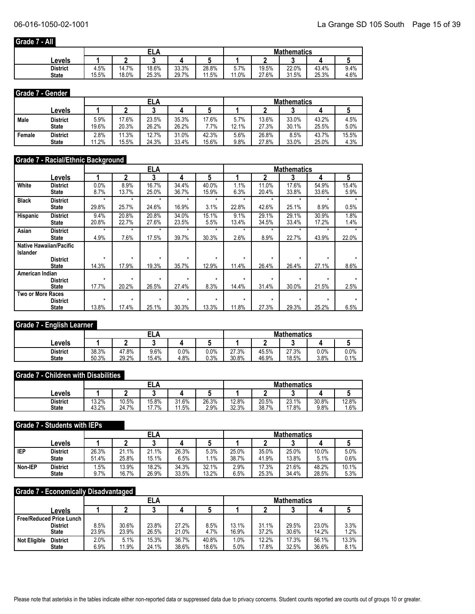#### **Grade 7 - All**

|              |       |       | ELA   |       |            | <b>Mathematics</b> |       |       |       |      |
|--------------|-------|-------|-------|-------|------------|--------------------|-------|-------|-------|------|
| ∟evels       |       |       |       |       |            |                    |       |       |       |      |
| District     | 4.5%  | 14.7% | 18.6% | 33.3% | 28.8%      | 7%<br>J.I          | 19.5% | 22.0% | 43.4% | 9.4% |
| <b>State</b> | 15.5% | 18.0% | 25.3% | 29.7% | . 5%<br>44 | 1.0%               | 27.6% | 31.5% | 25.3% | 4.6% |

#### **Grade 7 - Gender**

|        |              |       | ELA   |       |       |       |       |       | <b>Mathematics</b> |       |       |
|--------|--------------|-------|-------|-------|-------|-------|-------|-------|--------------------|-------|-------|
|        | ∟evels       |       |       | ◠     |       |       |       |       |                    |       |       |
| Male   | District     | 5.9%  | 17.6% | 23.5% | 35.3% | 17.6% | 5.7%  | 13.6% | 33.0%              | 43.2% | 4.5%  |
|        | <b>State</b> | 19.6% | 20.3% | 26.2% | 26.2% | .7%   | 12.1% | 27.3% | 30.1%              | 25.5% | 5.0%  |
| Female | District     | 2.8%  | 11.3% | 12.7% | 31.0% | 42.3% | 5.6%  | 26.8% | 8.5%               | 43.7% | 15.5% |
|        | <b>State</b> | 1.2%  | 15.5% | 24.3% | 33.4% | 15.6% | 9.8%  | 27.8% | 33.0%              | 25.0% | 4.3%  |

#### **Grade 7 - Racial/Ethnic Background**

|                          |                                |         |         | <b>ELA</b> |         |         |         |         | <b>Mathematics</b> |         |       |
|--------------------------|--------------------------------|---------|---------|------------|---------|---------|---------|---------|--------------------|---------|-------|
|                          | Levels                         |         | 2       | 3          | 4       | 5       |         |         | 3                  | 4       | 5     |
| White                    | <b>District</b>                | 0.0%    | 8.9%    | 16.7%      | 34.4%   | 40.0%   | 1.1%    | 11.0%   | 17.6%              | 54.9%   | 15.4% |
|                          | <b>State</b>                   | 8.7%    | 13.7%   | 25.0%      | 36.7%   | 15.9%   | 6.3%    | 20.4%   | 33.8%              | 33.6%   | 5.9%  |
| <b>Black</b>             | <b>District</b>                | $\star$ | $\star$ | $\star$    | $\star$ | $\star$ | $\star$ | $\star$ | $\star$            | $\star$ | ÷     |
|                          | <b>State</b>                   | 29.8%   | 25.7%   | 24.6%      | 16.9%   | 3.1%    | 22.8%   | 42.6%   | 25.1%              | 8.9%    | 0.5%  |
| Hispanic                 | <b>District</b>                | 9.4%    | 20.8%   | 20.8%      | 34.0%   | 15.1%   | 9.1%    | 29.1%   | 29.1%              | 30.9%   | 1.8%  |
|                          | <b>State</b>                   | 20.8%   | 22.7%   | 27.6%      | 23.5%   | 5.5%    | 13.4%   | 34.5%   | 33.4%              | 17.2%   | 1.4%  |
| Asian                    | <b>District</b>                | $\star$ | $\star$ | $\star$    | $\star$ | *       | *       | $\star$ | $\star$            | $\star$ |       |
|                          | <b>State</b>                   | 4.9%    | 7.6%    | 17.5%      | 39.7%   | 30.3%   | 2.6%    | 8.9%    | 22.7%              | 43.9%   | 22.0% |
|                          | <b>Native Hawaiian/Pacific</b> |         |         |            |         |         |         |         |                    |         |       |
| <b>Islander</b>          |                                |         |         |            |         |         |         |         |                    |         |       |
|                          | <b>District</b>                | $\star$ | $\star$ | $\star$    | $\star$ | ÷       | $\star$ | $\star$ | $\star$            | $\star$ |       |
|                          | <b>State</b>                   | 14.3%   | 17.9%   | 19.3%      | 35.7%   | 12.9%   | 11.4%   | 26.4%   | 26.4%              | 27.1%   | 8.6%  |
| American Indian          |                                |         |         |            |         |         |         |         |                    |         |       |
|                          | <b>District</b>                | $\star$ | $\star$ | $\star$    | ۰       | ÷       | $\star$ | ÷       | ÷                  | ÷       |       |
|                          | <b>State</b>                   | 17.7%   | 20.2%   | 26.5%      | 27.4%   | 8.3%    | 14.4%   | 31.4%   | 30.0%              | 21.5%   | 2.5%  |
| <b>Two or More Races</b> |                                |         |         |            |         |         |         |         |                    |         |       |
|                          | <b>District</b>                | $\star$ | $\star$ | $\star$    | $\star$ | ÷       | $\star$ | $\star$ | $\star$            |         |       |
|                          | <b>State</b>                   | 13.8%   | 17.4%   | 25.1%      | 30.3%   | 13.3%   | 11.8%   | 27.3%   | 29.3%              | 25.2%   | 6.5%  |

#### **Grade 7 - English Learner**

|                                 |                |                | ELA           |              |                 | <b>Mathematics</b> |                |                |              |              |  |
|---------------------------------|----------------|----------------|---------------|--------------|-----------------|--------------------|----------------|----------------|--------------|--------------|--|
| Levels                          |                |                |               |              |                 |                    |                |                |              |              |  |
| <b>District</b><br><b>State</b> | 38.3%<br>50.3% | 47.8%<br>29.2% | 9.6%<br>15.4% | 0.0%<br>4.8% | $0.0\%$<br>0.3% | 27.3%<br>30.8%     | 45.5%<br>46.9% | 27.3%<br>18.5% | 0.0%<br>3.8% | 0.0%<br>0.1% |  |

#### **Grade 7 - Children with Disabilities**

|                                 |                |                | EL 8           |                |               | <b>Mathematics</b> |                |                |               |               |  |
|---------------------------------|----------------|----------------|----------------|----------------|---------------|--------------------|----------------|----------------|---------------|---------------|--|
| Levels                          |                |                |                |                |               |                    |                |                |               |               |  |
| <b>District</b><br><b>State</b> | 13.2%<br>43.2% | 10.5%<br>24.7% | 15.8%<br>17.7% | 31.6%<br>11.5% | 26.3%<br>2.9% | 12.8%<br>32.3%     | 20.5%<br>38.7% | 23.1%<br>17.8% | 30.8%<br>9.8% | 12.8%<br>1.6% |  |

#### **Grade 7 - Students with IEPs**

|         |                 |       |       | ELA   |       |        |       |       | <b>Mathematics</b> |       |       |
|---------|-----------------|-------|-------|-------|-------|--------|-------|-------|--------------------|-------|-------|
|         | ∟evels          |       |       |       |       |        |       |       |                    |       |       |
| IEP     | <b>District</b> | 26.3% | 21.1% | 21.1% | 26.3% | 5.3%   | 25.0% | 35.0% | 25.0%              | 10.0% | 5.0%  |
|         | <b>State</b>    | 51.4% | 25.8% | 15.1% | 6.5%  | $.1\%$ | 38.7% | 41.9% | 13.8%              | 5.1%  | 0.6%  |
| Non-IEP | <b>District</b> | .5%   | 13.9% | 18.2% | 34.3% | 32.1%  | 2.9%  | 17.3% | 21.6%              | 48.2% | 10.1% |
|         | <b>State</b>    | 9.7%  | 16.7% | 26.9% | 33.5% | 13.2%  | 6.5%  | 25.3% | 34.4%              | 28.5% | 5.3%  |

#### **Grade 7 - Economically Disadvantaged**

|                                        |       |       | ELA   |       |       | <b>Mathematics</b> |       |       |       |       |
|----------------------------------------|-------|-------|-------|-------|-------|--------------------|-------|-------|-------|-------|
| Levels                                 |       |       |       |       |       |                    |       |       |       |       |
| <b>Free/Reduced Price Lunch</b>        |       |       |       |       |       |                    |       |       |       |       |
| <b>District</b>                        | 8.5%  | 30.6% | 23.8% | 27.2% | 8.5%  | 13.1%              | 31.1% | 29.5% | 23.0% | 3.3%  |
| <b>State</b>                           | 23.9% | 23.9% | 26.5% | 21.0% | 4.7%  | 16.9%              | 37.2% | 30.6% | 14.2% | 1.2%  |
| <b>Not Eligible</b><br><b>District</b> | 2.0%  | 5.1%  | 15.3% | 36.7% | 40.8% | .0%                | 12.2% | 17.3% | 56.1% | 13.3% |
| <b>State</b>                           | 6.9%  | 11.9% | 24.1% | 38.6% | 18.6% | 5.0%               | 17.8% | 32.5% | 36.6% | 8.1%  |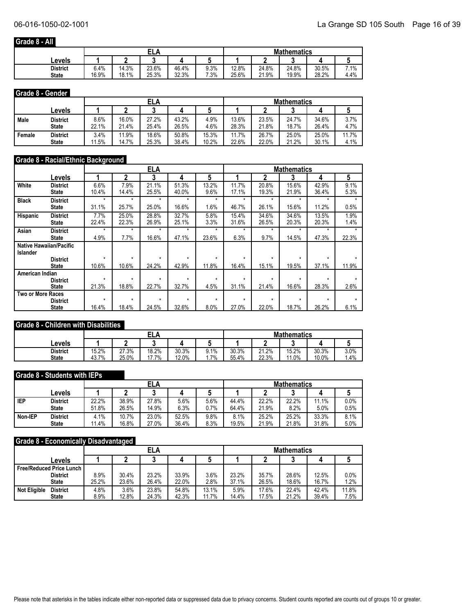#### **Grade 8 - All**

|              |       |       | ELA   |       |        | <b>Mathematics</b> |       |       |       |      |
|--------------|-------|-------|-------|-------|--------|--------------------|-------|-------|-------|------|
| Levels       |       |       |       |       |        |                    |       |       |       |      |
| District     | 6.4%  | 14.3% | 23.6% | 46.4% | 9.3%   | 12.8%              | 24.8% | 24.8% | 30.5% | 7.1% |
| <b>State</b> | 16.9% | 18.1% | 25.3% | 32.3% | $.3\%$ | 25.6%              | 21.9% | 19.9% | 28.2% | 4.4% |

#### **Grade 8 - Gender**

|        |                 |       | ELA   |       |       |       |       |       | <b>Mathematics</b> |       |       |
|--------|-----------------|-------|-------|-------|-------|-------|-------|-------|--------------------|-------|-------|
|        | ∟evels          |       |       |       |       |       |       |       |                    |       |       |
| Male   | District        | 8.6%  | 16.0% | 27.2% | 43.2% | 4.9%  | 13.6% | 23.5% | 24.7%              | 34.6% | 3.7%  |
|        | <b>State</b>    | 22.1% | 21.4% | 25.4% | 26.5% | 4.6%  | 28.3% | 21.8% | 18.7%              | 26.4% | 4.7%  |
| Female | <b>District</b> | 3.4%  | 11.9% | 18.6% | 50.8% | 15.3% | 11.7% | 26.7% | 25.0%              | 25.0% | 11.7% |
|        | <b>State</b>    | 11.5% | 14.7% | 25.3% | 38.4% | 10.2% | 22.6% | 22.0% | 21.2%              | 30.1% | 4.1%  |

### **Grade 8 - Racial/Ethnic Background**

|                          |                                | <b>ELA</b><br><b>Mathematics</b><br>5<br>5<br>2<br>3<br>3<br>4<br>4 |         |         |         |         |         |         |         |         |       |
|--------------------------|--------------------------------|---------------------------------------------------------------------|---------|---------|---------|---------|---------|---------|---------|---------|-------|
|                          | Levels                         |                                                                     |         |         |         |         |         |         |         |         |       |
| White                    | <b>District</b>                | 6.6%                                                                | 7.9%    | 21.1%   | 51.3%   | 13.2%   | 11.7%   | 20.8%   | 15.6%   | 42.9%   | 9.1%  |
|                          | <b>State</b>                   | 10.4%                                                               | 14.4%   | 25.5%   | 40.0%   | 9.6%    | 17.1%   | 19.3%   | 21.9%   | 36.4%   | 5.3%  |
| <b>Black</b>             | <b>District</b>                | $\star$                                                             | $\star$ | $\star$ | $\star$ | $\star$ | $\star$ | $\star$ | $\star$ | $\star$ |       |
|                          | <b>State</b>                   | 31.1%                                                               | 25.7%   | 25.0%   | 16.6%   | 1.6%    | 46.7%   | 26.1%   | 15.6%   | 11.2%   | 0.5%  |
| Hispanic                 | <b>District</b>                | 7.7%                                                                | 25.0%   | 28.8%   | 32.7%   | 5.8%    | 15.4%   | 34.6%   | 34.6%   | 13.5%   | 1.9%  |
|                          | <b>State</b>                   | 22.4%                                                               | 22.3%   | 26.9%   | 25.1%   | 3.3%    | 31.6%   | 26.5%   | 20.3%   | 20.3%   | 1.4%  |
| Asian                    | <b>District</b>                | $\star$                                                             | $\star$ | $\star$ | $\star$ | $\star$ | $\star$ | ÷       | ۰       | ÷       |       |
|                          | <b>State</b>                   | 4.9%                                                                | 7.7%    | 16.6%   | 47.1%   | 23.6%   | 6.3%    | 9.7%    | 14.5%   | 47.3%   | 22.3% |
|                          | <b>Native Hawaiian/Pacific</b> |                                                                     |         |         |         |         |         |         |         |         |       |
| <b>Islander</b>          |                                |                                                                     |         |         |         |         |         |         |         |         |       |
|                          | <b>District</b>                | $\star$                                                             | $\star$ | $\star$ | $\star$ | $\star$ | $\star$ | $\star$ | $\star$ | $\star$ |       |
|                          | <b>State</b>                   | 10.6%                                                               | 10.6%   | 24.2%   | 42.9%   | 11.8%   | 16.4%   | 15.1%   | 19.5%   | 37.1%   | 11.9% |
| American Indian          |                                |                                                                     |         |         |         |         |         |         |         |         |       |
|                          | <b>District</b>                | $\star$                                                             | $\star$ | $\star$ | $\star$ | $\star$ | ÷       | ÷       | $\star$ | $\star$ |       |
|                          | State                          | 21.3%                                                               | 18.8%   | 22.7%   | 32.7%   | 4.5%    | 31.1%   | 21.4%   | 16.6%   | 28.3%   | 2.6%  |
| <b>Two or More Races</b> |                                |                                                                     |         |         |         |         |         |         |         |         |       |
|                          | <b>District</b>                | $\star$                                                             | $\star$ | $\star$ | $\star$ | $\star$ | $\star$ | $\star$ | $\star$ | $\star$ |       |
|                          | <b>State</b>                   | 16.4%                                                               | 18.4%   | 24.5%   | 32.6%   | 8.0%    | 27.0%   | 22.0%   | 18.7%   | 26.2%   | 6.1%  |

#### **Grade 8 - Children with Disabilities**

|                                 |                |                |                |                |                  | <b>Mathematics</b> |                |              |                |              |  |
|---------------------------------|----------------|----------------|----------------|----------------|------------------|--------------------|----------------|--------------|----------------|--------------|--|
| Levels                          |                |                |                |                |                  |                    |                |              |                |              |  |
| <b>District</b><br><b>State</b> | 15.2%<br>43.7% | 27.3%<br>25.0% | 18.2%<br>17.7% | 30.3%<br>12.0% | 9.1%<br>.7%<br>. | 30.3%<br>55.4%     | 21.2%<br>22.3% | 15.2%<br>.0% | 30.3%<br>10.0% | 3.0%<br>1.4% |  |

#### **Grade 8 - Students with IEPs**

|            |                 |       | ELA   |       |       |      |       | <b>Mathematics</b> |       |       |      |  |  |
|------------|-----------------|-------|-------|-------|-------|------|-------|--------------------|-------|-------|------|--|--|
|            | ∟evels          |       |       |       |       |      |       |                    | ◠     |       |      |  |  |
| <b>IEP</b> | <b>District</b> | 22.2% | 38.9% | 27.8% | 5.6%  | 5.6% | 44.4% | 22.2%              | 22.2% | 11.1% | 0.0% |  |  |
|            | <b>State</b>    | 51.8% | 26.5% | 14.9% | 6.3%  | 0.7% | 64.4% | 21.9%              | 8.2%  | 5.0%  | 0.5% |  |  |
| Non-IEP    | <b>District</b> | 4.1%  | 10.7% | 23.0% | 52.5% | 9.8% | 8.1%  | 25.2%              | 25.2% | 33.3% | 8.1% |  |  |
|            | <b>State</b>    | 11.4% | 16.8% | 27.0% | 36.4% | 8.3% | 19.5% | 21.9%              | 21.8% | 31.8% | 5.0% |  |  |

#### **Grade 8 - Economically Disadvantaged**

|                                        |       | . .<br><b>ELA</b> |       |       |       |       | <b>Mathematics</b> |       |       |         |  |
|----------------------------------------|-------|-------------------|-------|-------|-------|-------|--------------------|-------|-------|---------|--|
| ∟evels                                 |       |                   |       |       |       |       |                    |       |       |         |  |
| <b>Free/Reduced Price Lunch</b>        |       |                   |       |       |       |       |                    |       |       |         |  |
| <b>District</b>                        | 8.9%  | 30.4%             | 23.2% | 33.9% | 3.6%  | 23.2% | 35.7%              | 28.6% | 12.5% | $0.0\%$ |  |
| <b>State</b>                           | 25.2% | 23.6%             | 26.4% | 22.0% | 2.8%  | 37.1% | 26.5%              | 18.6% | 16.7% | 1.2%    |  |
| <b>Not Eligible</b><br><b>District</b> | 4.8%  | 3.6%              | 23.8% | 54.8% | 13.1% | 5.9%  | 17.6%              | 22.4% | 42.4% | 11.8%   |  |
| <b>State</b>                           | 8.9%  | 12.8%             | 24.3% | 42.3% | 11.7% | 14.4% | 17.5%              | 21.2% | 39.4% | 7.5%    |  |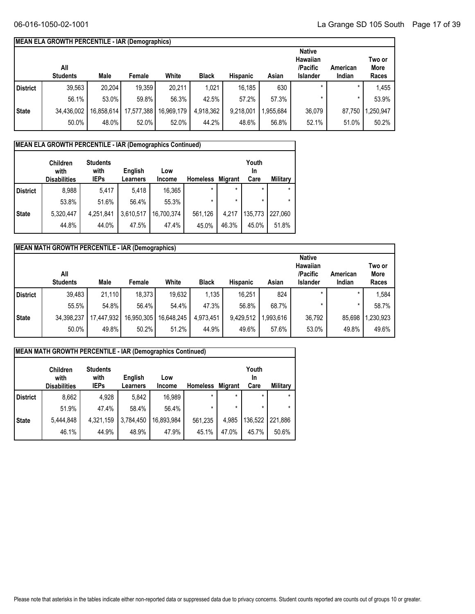#### **MEAN ELA GROWTH PERCENTILE - IAR (Demographics)**

|              | All<br><b>Students</b> | Male       | Female     | White      | <b>Black</b> | <b>Hispanic</b> | Asian    | <b>Native</b><br>Hawaiian<br>/Pacific<br>Islander | American<br>Indian | Two or<br><b>More</b><br>Races |
|--------------|------------------------|------------|------------|------------|--------------|-----------------|----------|---------------------------------------------------|--------------------|--------------------------------|
| District     | 39,563                 | 20,204     | 19,359     | 20,211     | 1,021        | 16,185          | 630      | $\ast$                                            | $\star$            | 1,455                          |
|              | 56.1%                  | 53.0%      | 59.8%      | 56.3%      | 42.5%        | 57.2%           | 57.3%    |                                                   |                    | 53.9%                          |
| <b>State</b> | 34,436,002             | 16,858,614 | 17,577,388 | 16,969,179 | 4,918,362    | 9,218,001       | ,955,684 | 36,079                                            | 87,750             | .250,947                       |
|              | 50.0%                  | 48.0%      | 52.0%      | 52.0%      | 44.2%        | 48.6%           | 56.8%    | 52.1%                                             | 51.0%              | 50.2%                          |

## **MEAN ELA GROWTH PERCENTILE - IAR (Demographics Continued)**

|                 | <b>Children</b><br>with<br><b>Disabilities</b> | <b>Students</b><br>with<br><b>IEPs</b> | English<br>Learners | Low<br><b>Income</b> | <b>Homeless</b> | <b>Migrant</b> | Youth<br>In<br>Care | <b>Military</b> |
|-----------------|------------------------------------------------|----------------------------------------|---------------------|----------------------|-----------------|----------------|---------------------|-----------------|
| <b>District</b> | 8,988                                          | 5,417                                  | 5.418               | 16,365               | $\star$         | $\star$        | $\star$             | $\star$         |
|                 | 53.8%                                          | 51.6%                                  | 56.4%               | 55.3%                | *               | $\star$        |                     | $\star$         |
| <b>State</b>    | 5,320,447                                      | 4,251,841                              | 3,610,517           | 16,700,374           | 561,126         | 4,217          | 135,773             | 227.060         |
|                 | 44.8%                                          | 44.0%                                  | 47.5%               | 47.4%                | 45.0%           | 46.3%          | 45.0%               | 51.8%           |

|                 | <b>MEAN MATH GROWTH PERCENTILE - IAR (Demographics)</b> |            |            |            |              |                 |           |                                                                 |                    |                         |
|-----------------|---------------------------------------------------------|------------|------------|------------|--------------|-----------------|-----------|-----------------------------------------------------------------|--------------------|-------------------------|
|                 | All<br><b>Students</b>                                  | Male       | Female     | White      | <b>Black</b> | <b>Hispanic</b> | Asian     | <b>Native</b><br><b>Hawaiian</b><br>/Pacific<br><b>Islander</b> | American<br>Indian | Two or<br>More<br>Races |
| <b>District</b> | 39,483                                                  | 21.110     | 18,373     | 19,632     | 1,135        | 16,251          | 824       | $\star$                                                         | ×                  | 1,584                   |
|                 | 55.5%                                                   | 54.8%      | 56.4%      | 54.4%      | 47.3%        | 56.8%           | 68.7%     | ×                                                               | $\star$            | 58.7%                   |
| State           | 34,398,237                                              | 17,447,932 | 16,950,305 | 16,648,245 | 4,973,451    | 9,429,512       | 1,993,616 | 36,792                                                          | 85,698             | 1,230,923               |
|                 | 50.0%                                                   | 49.8%      | 50.2%      | 51.2%      | 44.9%        | 49.6%           | 57.6%     | 53.0%                                                           | 49.8%              | 49.6%                   |

|                 | <b>MEAN MATH GROWTH PERCENTILE - IAR (Demographics Continued)</b> |                                        |                     |                      |                 |                |                     |                 |  |  |
|-----------------|-------------------------------------------------------------------|----------------------------------------|---------------------|----------------------|-----------------|----------------|---------------------|-----------------|--|--|
|                 | <b>Children</b><br>with<br><b>Disabilities</b>                    | <b>Students</b><br>with<br><b>IEPs</b> | English<br>Learners | Low<br><b>Income</b> | <b>Homeless</b> | <b>Migrant</b> | Youth<br>In<br>Care | <b>Military</b> |  |  |
| <b>District</b> | 8,662                                                             | 4,928                                  | 5,842               | 16,989               | $\star$         | $\star$        | $\star$             | $\star$         |  |  |
|                 | 51.9%                                                             | 47.4%                                  | 58.4%               | 56.4%                | $\star$         | $\star$        | $\star$             |                 |  |  |
| <b>State</b>    | 5,444,848                                                         | 4,321,159                              | 3,784,450           | 16,893,984           | 561,235         | 4,985          | 136,522             | 221,886         |  |  |
|                 | 46.1%                                                             | 44.9%                                  | 48.9%               | 47.9%                | 45.1%           | 47.0%          | 45.7%               | 50.6%           |  |  |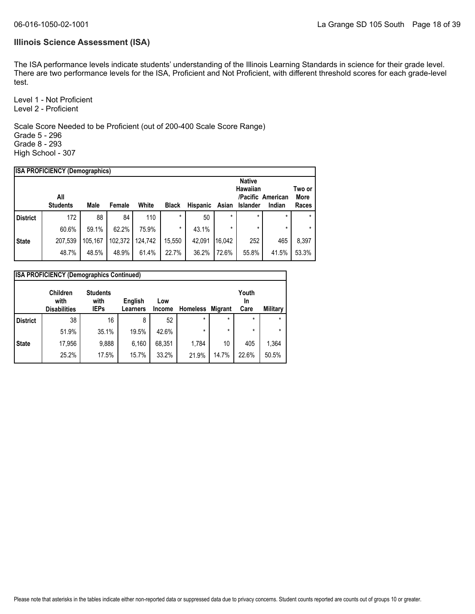#### **Illinois Science Assessment (ISA)**

The ISA performance levels indicate students' understanding of the Illinois Learning Standards in science for their grade level. There are two performance levels for the ISA, Proficient and Not Proficient, with different threshold scores for each grade-level test.

Level 1 - Not Proficient Level 2 - Proficient

Scale Score Needed to be Proficient (out of 200-400 Scale Score Range) Grade 5 - 296 Grade 8 - 293 High School - 307

| <b>ISA PROFICIENCY (Demographics)</b> |                        |         |         |         |              |                 |         |                 |                             |               |
|---------------------------------------|------------------------|---------|---------|---------|--------------|-----------------|---------|-----------------|-----------------------------|---------------|
|                                       |                        |         |         |         |              |                 |         | <b>Native</b>   |                             |               |
|                                       |                        |         |         |         |              |                 |         | Hawaiian        |                             | Two or        |
|                                       | All<br><b>Students</b> | Male    | Female  | White   | <b>Black</b> | <b>Hispanic</b> | Asian   | <b>Islander</b> | /Pacific American<br>Indian | More<br>Races |
|                                       |                        |         |         |         | $\star$      |                 |         |                 | $\star$                     |               |
| <b>District</b>                       | 172                    | 88      | 84      | 110     |              | 50              | $\star$ | $\star$         |                             |               |
|                                       | 60.6%                  | 59.1%   | 62.2%   | 75.9%   | $\star$      | 43.1%           | $\star$ | $\star$         | $\star$                     | *             |
| <b>State</b>                          | 207,539                | 105.167 | 102,372 | 124.742 | 15,550       | 42.091          | 16.042  | 252             | 465                         | 8,397         |
|                                       | 48.7%                  | 48.5%   | 48.9%   | 61.4%   | 22.7%        | 36.2%           | 72.6%   | 55.8%           | 41.5%                       | 53.3%         |

|                 | <b>ISA PROFICIENCY (Demographics Continued)</b> |                                        |                            |               |                 |                |                     |          |  |  |  |
|-----------------|-------------------------------------------------|----------------------------------------|----------------------------|---------------|-----------------|----------------|---------------------|----------|--|--|--|
|                 | <b>Children</b><br>with<br><b>Disabilities</b>  | <b>Students</b><br>with<br><b>IEPs</b> | English<br><b>Learners</b> | Low<br>Income | <b>Homeless</b> | <b>Migrant</b> | Youth<br>In<br>Care | Military |  |  |  |
| <b>District</b> | 38                                              | 16                                     | 8                          | 52            | $\star$         | $\star$        | $\star$             | $\star$  |  |  |  |
|                 | 51.9%                                           | 35.1%                                  | 19.5%                      | 42.6%         | $\star$         | $\star$        | $\star$             | $\star$  |  |  |  |
| <b>State</b>    | 17,956                                          | 9,888                                  | 6,160                      | 68.351        | 1,784           | 10             | 405                 | 1,364    |  |  |  |
|                 | 25.2%                                           | 17.5%                                  | 15.7%                      | 33.2%         | 21.9%           | 14.7%          | 22.6%               | 50.5%    |  |  |  |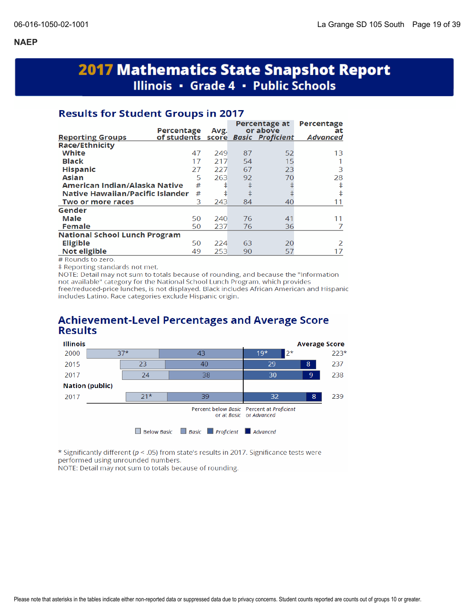# **2017 Mathematics State Snapshot Report** Illinois • Grade 4 • Public Schools

## **Results for Student Groups in 2017**

|                                         | Percentage  | Avg. |    | Percentage at<br>or above | Percentage<br>at |
|-----------------------------------------|-------------|------|----|---------------------------|------------------|
| <b>Reporting Groups</b>                 | of students |      |    | score Basic Proficient    | <b>Advanced</b>  |
| <b>Race/Ethnicity</b>                   |             |      |    |                           |                  |
| White                                   | 47          | 249  | 87 | 52                        | 13               |
| <b>Black</b>                            | 17          | 217  | 54 | 15                        |                  |
| <b>Hispanic</b>                         | 27          | 227  | 67 | 23                        | 3                |
| Asian                                   | 5           | 263  | 92 | 70                        | 28               |
| American Indian/Alaska Native           | #           | ŧ    | ŧ  |                           | ŧ                |
| <b>Native Hawaiian/Pacific Islander</b> | #           | ŧ    | ŧ  |                           | ŧ                |
| Two or more races                       | 3           | 243  | 84 | 40                        | 11               |
| Gender                                  |             |      |    |                           |                  |
| Male                                    | 50          | 240  | 76 | 41                        | 11               |
| <b>Female</b>                           | 50          | 237  | 76 | 36                        |                  |
| <b>National School Lunch Program</b>    |             |      |    |                           |                  |
| <b>Eligible</b>                         | 50          | 224  | 63 | 20                        | $\mathcal{P}$    |
| Not eligible                            | 49          | 253  | 90 | 57                        | 17               |

# Rounds to zero.

‡ Reporting standards not met.

NOTE: Detail may not sum to totals because of rounding, and because the "Information" not available" category for the National School Lunch Program, which provides free/reduced-price lunches, is not displayed. Black includes African American and Hispanic includes Latino. Race categories exclude Hispanic origin.

## **Achievement-Level Percentages and Average Score Results**



\* Significantly different (p < .05) from state's results in 2017. Significance tests were performed using unrounded numbers.

NOTE: Detail may not sum to totals because of rounding.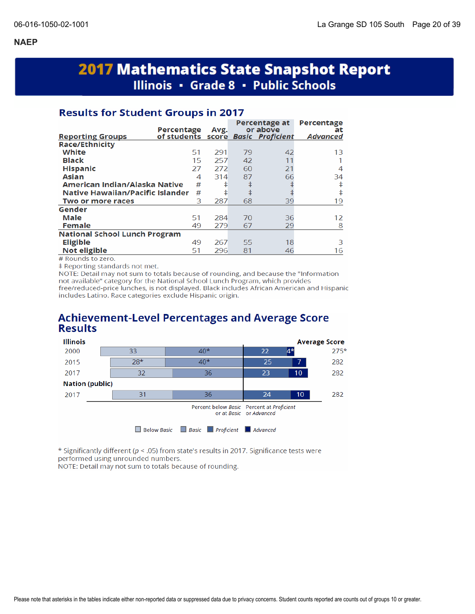# **2017 Mathematics State Snapshot Report** Illinois · Grade 8 · Public Schools

## **Results for Student Groups in 2017**

| of students score Basic Proficient<br><b>Advanced</b><br><b>Reporting Groups</b><br><b>Race/Ethnicity</b><br>White<br>42<br>51<br>291<br>79<br>13<br><b>Black</b><br>15<br>257<br>42<br>11<br><b>Hispanic</b><br>21<br>27<br>272<br>60<br>4<br>66<br><b>Asian</b><br>314<br>87<br>4<br>34<br>ŧ<br>American Indian/Alaska Native<br>#<br>ŧ<br>ŧ<br>ŧ<br>ŧ<br>Native Hawaiian/Pacific Islander<br>#<br>ŧ<br>3<br>287<br>68<br>39<br>19<br>Two or more races<br>Gender<br>Male<br>51<br>284<br>36<br>70<br>12<br><b>Female</b><br>29<br>49<br>279<br>67<br>8<br><b>National School Lunch Program</b><br><b>Eligible</b><br>18<br>49<br>267<br>55<br>З<br>Not eligible<br>296<br>81<br>51<br>16<br>46 | Percentage | Avg. | Percentage at<br>or above | Percentage<br>at |
|---------------------------------------------------------------------------------------------------------------------------------------------------------------------------------------------------------------------------------------------------------------------------------------------------------------------------------------------------------------------------------------------------------------------------------------------------------------------------------------------------------------------------------------------------------------------------------------------------------------------------------------------------------------------------------------------------|------------|------|---------------------------|------------------|
|                                                                                                                                                                                                                                                                                                                                                                                                                                                                                                                                                                                                                                                                                                   |            |      |                           |                  |
|                                                                                                                                                                                                                                                                                                                                                                                                                                                                                                                                                                                                                                                                                                   |            |      |                           |                  |
|                                                                                                                                                                                                                                                                                                                                                                                                                                                                                                                                                                                                                                                                                                   |            |      |                           |                  |
|                                                                                                                                                                                                                                                                                                                                                                                                                                                                                                                                                                                                                                                                                                   |            |      |                           |                  |
|                                                                                                                                                                                                                                                                                                                                                                                                                                                                                                                                                                                                                                                                                                   |            |      |                           |                  |
|                                                                                                                                                                                                                                                                                                                                                                                                                                                                                                                                                                                                                                                                                                   |            |      |                           |                  |
|                                                                                                                                                                                                                                                                                                                                                                                                                                                                                                                                                                                                                                                                                                   |            |      |                           |                  |
|                                                                                                                                                                                                                                                                                                                                                                                                                                                                                                                                                                                                                                                                                                   |            |      |                           |                  |
|                                                                                                                                                                                                                                                                                                                                                                                                                                                                                                                                                                                                                                                                                                   |            |      |                           |                  |
|                                                                                                                                                                                                                                                                                                                                                                                                                                                                                                                                                                                                                                                                                                   |            |      |                           |                  |
|                                                                                                                                                                                                                                                                                                                                                                                                                                                                                                                                                                                                                                                                                                   |            |      |                           |                  |
|                                                                                                                                                                                                                                                                                                                                                                                                                                                                                                                                                                                                                                                                                                   |            |      |                           |                  |
|                                                                                                                                                                                                                                                                                                                                                                                                                                                                                                                                                                                                                                                                                                   |            |      |                           |                  |
|                                                                                                                                                                                                                                                                                                                                                                                                                                                                                                                                                                                                                                                                                                   |            |      |                           |                  |
|                                                                                                                                                                                                                                                                                                                                                                                                                                                                                                                                                                                                                                                                                                   |            |      |                           |                  |

# Rounds to zero.

# Reporting standards not met.

NOTE: Detail may not sum to totals because of rounding, and because the "Information not available" category for the National School Lunch Program, which provides free/reduced-price lunches, is not displayed. Black includes African American and Hispanic includes Latino. Race categories exclude Hispanic origin.

## **Achievement-Level Percentages and Average Score Results**



\* Significantly different ( $p < .05$ ) from state's results in 2017. Significance tests were performed using unrounded numbers.

NOTE: Detail may not sum to totals because of rounding.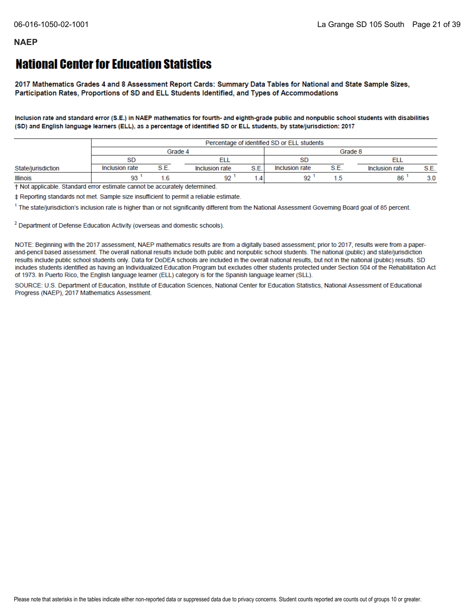## **National Center for Education Statistics**

2017 Mathematics Grades 4 and 8 Assessment Report Cards: Summary Data Tables for National and State Sample Sizes, Participation Rates, Proportions of SD and ELL Students Identified, and Types of Accommodations

Inclusion rate and standard error (S.E.) in NAEP mathematics for fourth- and eighth-grade public and nonpublic school students with disabilities (SD) and English language learners (ELL), as a percentage of identified SD or ELL students, by state/jurisdiction: 2017

|                    |                | Percentage of identified SD or ELL students |                |      |                |   |                |      |  |  |  |
|--------------------|----------------|---------------------------------------------|----------------|------|----------------|---|----------------|------|--|--|--|
|                    |                |                                             | Grade 4        |      |                |   | Grade 8        |      |  |  |  |
|                    | <b>SD</b>      |                                             |                |      |                |   |                |      |  |  |  |
| State/jurisdiction | Inclusion rate | 9 P                                         | Inclusion rate | S.E. | Inclusion rate | e | Inclusion rate | S.E. |  |  |  |
| <b>Illinois</b>    | ۵٩             |                                             | 92             |      | Q9             |   | 86             | 3.0  |  |  |  |

+ Not applicable. Standard error estimate cannot be accurately determined.

‡ Reporting standards not met. Sample size insufficient to permit a reliable estimate.

<sup>1</sup> The state/jurisdiction's inclusion rate is higher than or not significantly different from the National Assessment Governing Board goal of 85 percent.

<sup>2</sup> Department of Defense Education Activity (overseas and domestic schools).

NOTE: Beginning with the 2017 assessment, NAEP mathematics results are from a digitally based assessment; prior to 2017, results were from a paperand-pencil based assessment. The overall national results include both public and nonpublic school students. The national (public) and state/jurisdiction results include public school students only. Data for DoDEA schools are included in the overall national results, but not in the national (public) results. SD includes students identified as having an Individualized Education Program but excludes other students protected under Section 504 of the Rehabilitation Act of 1973. In Puerto Rico, the English language learner (ELL) category is for the Spanish language learner (SLL).

SOURCE: U.S. Department of Education, Institute of Education Sciences, National Center for Education Statistics, National Assessment of Educational Progress (NAEP), 2017 Mathematics Assessment.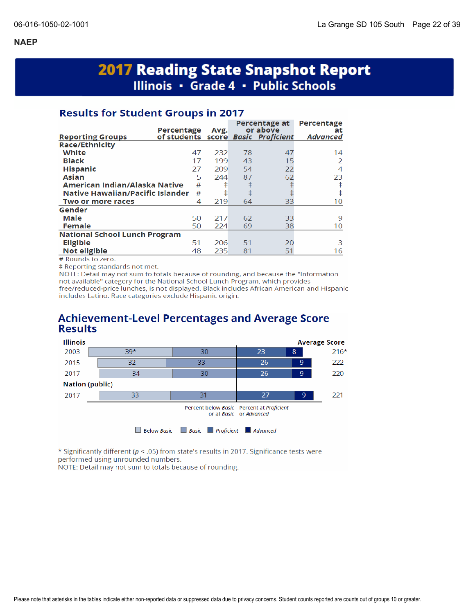# **2017 Reading State Snapshot Report** Illinois · Grade 4 · Public Schools

## **Results for Student Groups in 2017**

|                                      | Percentage  | Avg. |    | Percentage at<br>or above | <b>Percentage</b><br>at |
|--------------------------------------|-------------|------|----|---------------------------|-------------------------|
| <b>Reporting Groups</b>              | of students |      |    | score Basic Proficient    | <b>Advanced</b>         |
| <b>Race/Ethnicity</b>                |             |      |    |                           |                         |
| White                                | 47          | 232  | 78 | 47                        | 14                      |
| <b>Black</b>                         | 17          | 199  | 43 | 15                        | 2                       |
| <b>Hispanic</b>                      | 27          | 209  | 54 | 22                        | 4                       |
| <b>Asian</b>                         | 5           | 244  | 87 | 62                        | 23                      |
| American Indian/Alaska Native        | #           | ŧ    | ŧ  |                           | ŧ                       |
| Native Hawaiian/Pacific Islander     | #           | ŧ    | ŧ  |                           | ŧ                       |
| Two or more races                    | 4           | 219  | 64 | 33                        | 10                      |
| Gender                               |             |      |    |                           |                         |
| Male                                 | 50          | 217  | 62 | 33                        | 9                       |
| <b>Female</b>                        | 50          | 224  | 69 | 38                        | 10                      |
| <b>National School Lunch Program</b> |             |      |    |                           |                         |
| <b>Eligible</b>                      | 51          | 206  | 51 | 20                        | 3                       |
| Not eligible                         | 48          | 235  | 81 | 51                        | 16                      |

# Rounds to zero.

‡ Reporting standards not met.

NOTE: Detail may not sum to totals because of rounding, and because the "Information not available" category for the National School Lunch Program, which provides free/reduced-price lunches, is not displayed. Black includes African American and Hispanic includes Latino. Race categories exclude Hispanic origin.

## **Achievement-Level Percentages and Average Score Results**



\* Significantly different ( $p < .05$ ) from state's results in 2017. Significance tests were performed using unrounded numbers.

NOTE: Detail may not sum to totals because of rounding.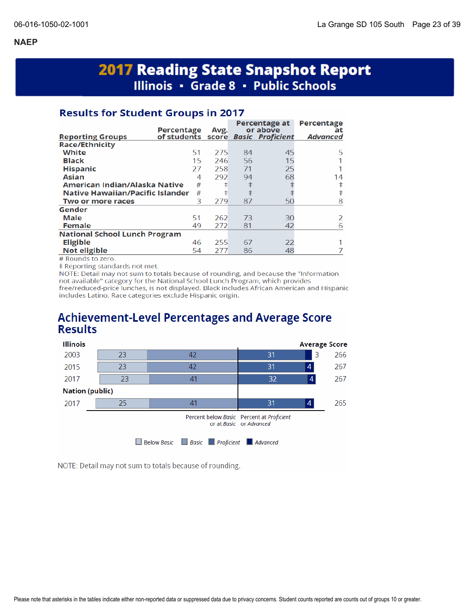# **2017 Reading State Snapshot Report** Illinois • Grade 8 • Public Schools

## **Results for Student Groups in 2017**

|                                      | Percentage                         | Avg. |    | Percentage at<br>or above | Percentage<br>at |
|--------------------------------------|------------------------------------|------|----|---------------------------|------------------|
| <b>Reporting Groups</b>              | of students score Basic Proficient |      |    |                           | <b>Advanced</b>  |
| <b>Race/Ethnicity</b>                |                                    |      |    |                           |                  |
| White                                | 51                                 | 275  | 84 | 45                        | 5                |
| <b>Black</b>                         | 15                                 | 246  | 56 | 15                        |                  |
| <b>Hispanic</b>                      | 27                                 | 258  | 71 | 25                        |                  |
| <b>Asian</b>                         | 4                                  | 292  | 94 | 68                        | 14               |
| American Indian/Alaska Native        | #                                  | ŧ    | ŧ  |                           | ŧ                |
| Native Hawaiian/Pacific Islander     | #                                  | ŧ    | ŧ  |                           | ŧ                |
| Two or more races                    | 3                                  | 279  | 87 | 50                        | 8                |
| Gender                               |                                    |      |    |                           |                  |
| Male                                 | 51                                 | 262  | 73 | 30                        | $\mathcal{P}$    |
| <b>Female</b>                        | 49                                 | 272  | 81 | 42                        | 6                |
| <b>National School Lunch Program</b> |                                    |      |    |                           |                  |
| <b>Eligible</b>                      | 46                                 | 255  | 67 | 22                        |                  |
| <b>Not eligible</b>                  | 54                                 | 277  | 86 | 48                        |                  |

# Rounds to zero.

‡ Reporting standards not met.

NOTE: Detail may not sum to totals because of rounding, and because the "Information not available" category for the National School Lunch Program, which provides free/reduced-price lunches, is not displayed. Black includes African American and Hispanic includes Latino. Race categories exclude Hispanic origin.

## **Achievement-Level Percentages and Average Score Results**



NOTE: Detail may not sum to totals because of rounding.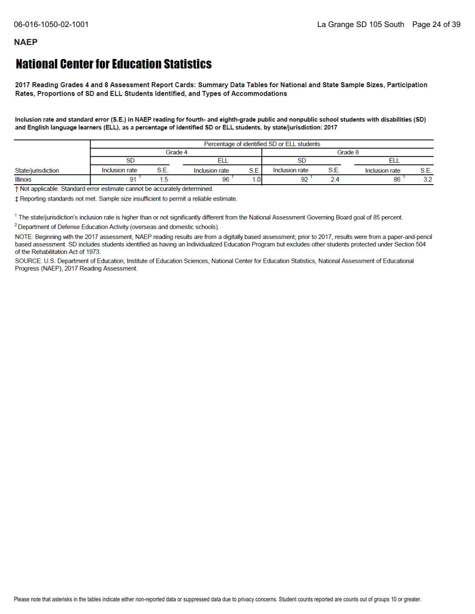## **National Center for Education Statistics**

2017 Reading Grades 4 and 8 Assessment Report Cards: Summary Data Tables for National and State Sample Sizes, Participation Rates, Proportions of SD and ELL Students Identified, and Types of Accommodations

Inclusion rate and standard error (S.E.) in NAEP reading for fourth- and eighth-grade public and nonpublic school students with disabilities (SD) and English language learners (ELL), as a percentage of identified SD or ELL students, by state/jurisdiction: 2017

|                    | Percentage of identified SD or ELL students |  |                |                 |                |      |                |           |
|--------------------|---------------------------------------------|--|----------------|-----------------|----------------|------|----------------|-----------|
|                    | Grade 4                                     |  |                |                 | Grade 8        |      |                |           |
|                    | SD                                          |  |                |                 |                |      |                |           |
| State/jurisdiction | Inclusion rate                              |  | Inclusion rate | S.E.            | Inclusion rate | S.E. | Inclusion rate | S.E.      |
| <b>Illinois</b>    |                                             |  | 96             | .0 <sub>1</sub> | $\sim$         |      | 86             | າາ<br>J.Z |

† Not applicable. Standard error estimate cannot be accurately determined.

± Reporting standards not met. Sample size insufficient to permit a reliable estimate.

<sup>1</sup> The state/jurisdiction's inclusion rate is higher than or not significantly different from the National Assessment Governing Board goal of 85 percent.

<sup>2</sup> Department of Defense Education Activity (overseas and domestic schools).

NOTE: Beginning with the 2017 assessment, NAEP reading results are from a digitally based assessment; prior to 2017, results were from a paper-and-pencil based assessment. SD includes students identified as having an Individualized Education Program but excludes other students protected under Section 504 of the Rehabilitation Act of 1973.

SOURCE: U.S. Department of Education, Institute of Education Sciences, National Center for Education Statistics, National Assessment of Educational Progress (NAEP), 2017 Reading Assessment.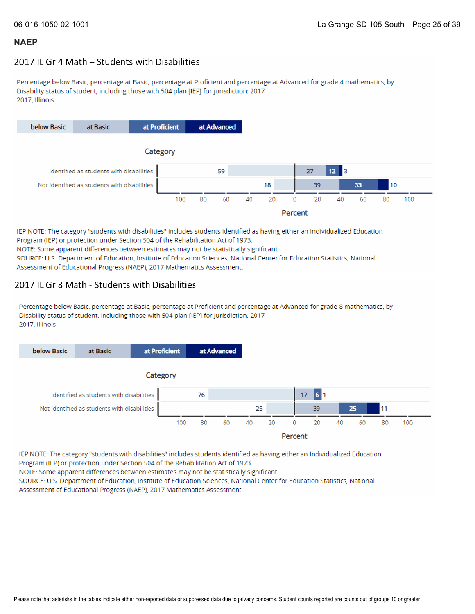### 2017 IL Gr 4 Math - Students with Disabilities

Percentage below Basic, percentage at Basic, percentage at Proficient and percentage at Advanced for grade 4 mathematics, by Disability status of student, including those with 504 plan [IEP] for jurisdiction: 2017 2017. Illinois



IEP NOTE: The category "students with disabilities" includes students identified as having either an Individualized Education Program (IEP) or protection under Section 504 of the Rehabilitation Act of 1973. NOTE: Some apparent differences between estimates may not be statistically significant.

SOURCE: U.S. Department of Education, Institute of Education Sciences, National Center for Education Statistics, National Assessment of Educational Progress (NAEP), 2017 Mathematics Assessment.

#### 2017 IL Gr 8 Math - Students with Disabilities

Percentage below Basic, percentage at Basic, percentage at Proficient and percentage at Advanced for grade 8 mathematics, by Disability status of student, including those with 504 plan [IEP] for jurisdiction: 2017 2017, Illinois



IEP NOTE: The category "students with disabilities" includes students identified as having either an Individualized Education Program (IEP) or protection under Section 504 of the Rehabilitation Act of 1973.

NOTE: Some apparent differences between estimates may not be statistically significant.

SOURCE: U.S. Department of Education, Institute of Education Sciences, National Center for Education Statistics, National Assessment of Educational Progress (NAEP), 2017 Mathematics Assessment.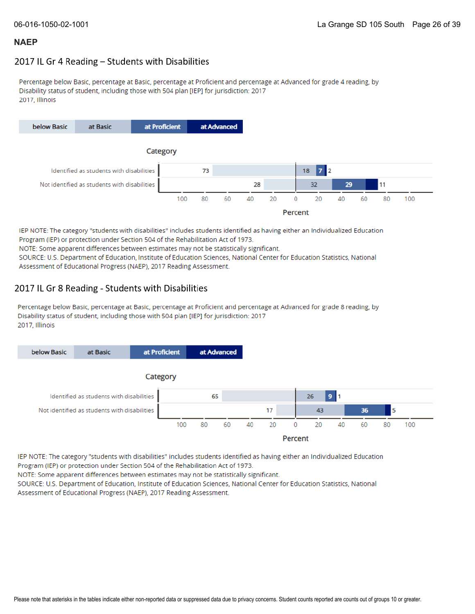#### 2017 IL Gr 4 Reading - Students with Disabilities

Percentage below Basic, percentage at Basic, percentage at Proficient and percentage at Advanced for grade 4 reading, by Disability status of student, including those with 504 plan [IEP] for jurisdiction: 2017 2017, Illinois



IEP NOTE: The category "students with disabilities" includes students identified as having either an Individualized Education Program (IEP) or protection under Section 504 of the Rehabilitation Act of 1973. NOTE: Some apparent differences between estimates may not be statistically significant. SOURCE: U.S. Department of Education, Institute of Education Sciences, National Center for Education Statistics, National Assessment of Educational Progress (NAEP), 2017 Reading Assessment.

### 2017 IL Gr 8 Reading - Students with Disabilities

Percentage below Basic, percentage at Basic, percentage at Proficient and percentage at Advanced for grade 8 reading, by Disability status of student, including those with 504 plan [IEP] for jurisdiction: 2017 2017, Illinois



IEP NOTE: The category "students with disabilities" includes students identified as having either an Individualized Education Program (IEP) or protection under Section 504 of the Rehabilitation Act of 1973.

NOTE: Some apparent differences between estimates may not be statistically significant.

SOURCE: U.S. Department of Education, Institute of Education Sciences, National Center for Education Statistics, National Assessment of Educational Progress (NAEP), 2017 Reading Assessment.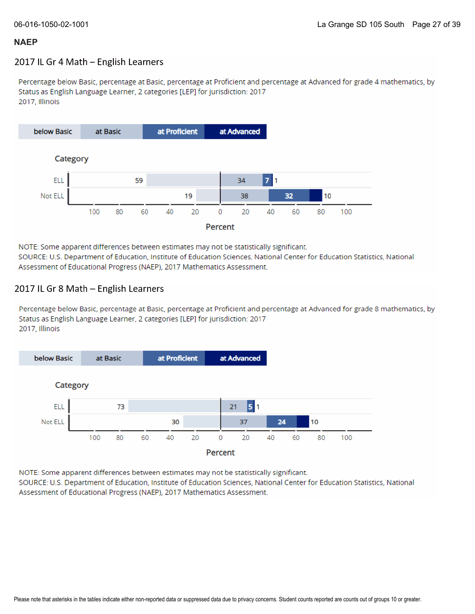### 2017 IL Gr 4 Math - English Learners

Percentage below Basic, percentage at Basic, percentage at Proficient and percentage at Advanced for grade 4 mathematics, by Status as English Language Learner, 2 categories [LEP] for jurisdiction: 2017 2017, Illinois



NOTE: Some apparent differences between estimates may not be statistically significant. SOURCE: U.S. Department of Education, Institute of Education Sciences, National Center for Education Statistics, National Assessment of Educational Progress (NAEP), 2017 Mathematics Assessment.

### 2017 IL Gr 8 Math - English Learners

Percentage below Basic, percentage at Basic, percentage at Proficient and percentage at Advanced for grade 8 mathematics, by Status as English Language Learner, 2 categories [LEP] for jurisdiction: 2017 2017, Illinois



NOTE: Some apparent differences between estimates may not be statistically significant.

SOURCE: U.S. Department of Education, Institute of Education Sciences, National Center for Education Statistics, National Assessment of Educational Progress (NAEP), 2017 Mathematics Assessment.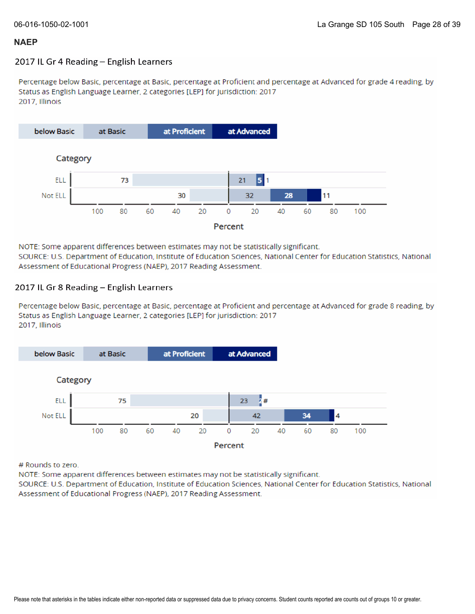#### 2017 IL Gr 4 Reading - English Learners

Percentage below Basic, percentage at Basic, percentage at Proficient and percentage at Advanced for grade 4 reading, by Status as English Language Learner, 2 categories [LEP] for jurisdiction: 2017 2017, Illinois



NOTE: Some apparent differences between estimates may not be statistically significant. SOURCE: U.S. Department of Education, Institute of Education Sciences, National Center for Education Statistics, National Assessment of Educational Progress (NAEP), 2017 Reading Assessment.

#### 2017 IL Gr 8 Reading - English Learners

Percentage below Basic, percentage at Basic, percentage at Proficient and percentage at Advanced for grade 8 reading, by Status as English Language Learner, 2 categories [LEP] for jurisdiction: 2017 2017, Illinois



# Rounds to zero.

NOTE: Some apparent differences between estimates may not be statistically significant.

SOURCE: U.S. Department of Education, Institute of Education Sciences, National Center for Education Statistics, National Assessment of Educational Progress (NAEP), 2017 Reading Assessment.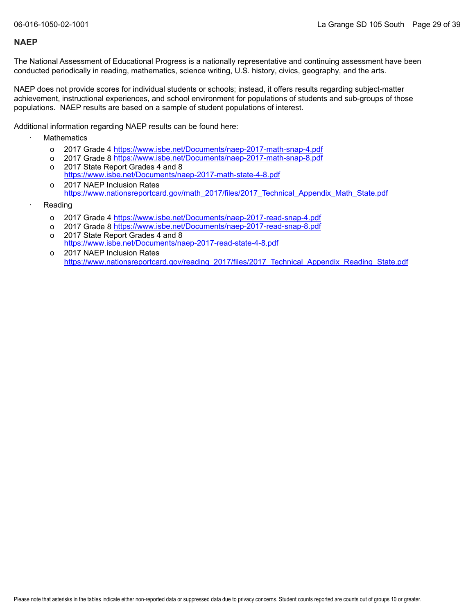The National Assessment of Educational Progress is a nationally representative and continuing assessment have been conducted periodically in reading, mathematics, science writing, U.S. history, civics, geography, and the arts.

NAEP does not provide scores for individual students or schools; instead, it offers results regarding subject-matter achievement, instructional experiences, and school environment for populations of students and sub-groups of those populations. NAEP results are based on a sample of student populations of interest.

Additional information regarding NAEP results can be found here:

- **Mathematics** 
	- o 2017 Grade 4 <u><https://www.isbe.net/Documents/naep-2017-math-snap-4.pdf></u>
	- o 2017 Grade 8 <u><https://www.isbe.net/Documents/naep-2017-math-snap-8.pdf></u>
	- o 2017 State Report Grades 4 and 8 <https://www.isbe.net/Documents/naep-2017-math-state-4-8.pdf>
	- o 2017 NAEP Inclusion Rates [https://www.nationsreportcard.gov/math\\_2017/files/2017\\_Technical\\_Appendix\\_Math\\_State.pdf](https://www.nationsreportcard.gov/math_2017/files/2017_Technical_Appendix_Math_State.pdf)
- **Reading** 
	- o 2017 Grade 4 <u><https://www.isbe.net/Documents/naep-2017-read-snap-4.pdf></u>
	- o 2017 Grade 8 <u><https://www.isbe.net/Documents/naep-2017-read-snap-8.pdf></u>
	- o 2017 State Report Grades 4 and 8 <https://www.isbe.net/Documents/naep-2017-read-state-4-8.pdf>
	- o 2017 NAEP Inclusion Rates [https://www.nationsreportcard.gov/reading\\_2017/files/2017\\_Technical\\_Appendix\\_Reading\\_State.pdf](https://www.nationsreportcard.gov/reading_2017/files/2017_Technical_Appendix_Reading_State.pdf)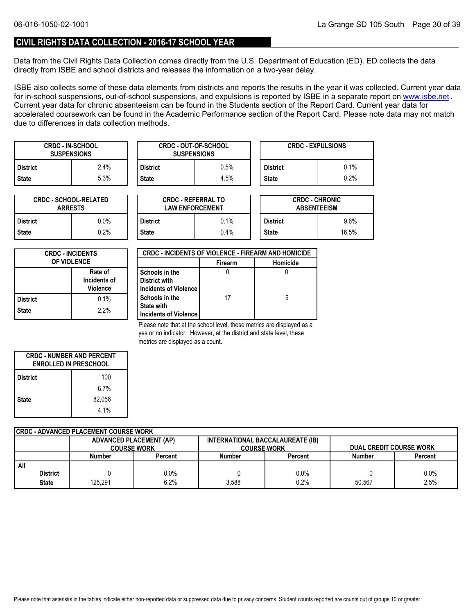#### **CIVIL RIGHTS DATA COLLECTION - 2016-17 SCHOOL YEAR**

Data from the Civil Rights Data Collection comes directly from the U.S. Department of Education (ED). ED collects the data directly from ISBE and school districts and releases the information on a two-year delay.

ISBE also collects some of these data elements from districts and reports the results in the year it was collected. Current year data forin-school suspensions, out-of-school suspensions, and expulsions is reported by ISBE in a separate report on <u>www.isbe.net</u> . Current year data for chronic absenteeism can be found in the Students section of the Report Card. Current year data for accelerated coursework can be found in the Academic Performance section of the Report Card. Please note data may not match due to differences in data collection methods.

| <b>CRDC - IN-SCHOOL</b><br><b>SUSPENSIONS</b> |      |          | <b>CRDC - OUT-OF-SCHOOL</b><br><b>SUSPENSIONS</b> | <b>CRDC - EXPULSIONS</b> |      |  |
|-----------------------------------------------|------|----------|---------------------------------------------------|--------------------------|------|--|
| <b>District</b>                               | 2.4% | District | 0.5%                                              | <b>District</b>          | 0.1% |  |
| <b>State</b>                                  | 5.3% | State    | 4.5%                                              | <b>State</b>             | 0.2% |  |

| <b>CRDC - SCHOOL-RELATED</b><br><b>ARRESTS</b> |         |  |  |  |
|------------------------------------------------|---------|--|--|--|
| <b>District</b>                                | $0.0\%$ |  |  |  |
| <b>State</b>                                   | 0.2%    |  |  |  |

| TED     |                 | <b>CRDC - REFERRAL TO</b><br><b>LAW ENFORCEMENT</b> | <b>CRDC - CHRONIC</b><br><b>ABSENTEEISM</b> |         |  |
|---------|-----------------|-----------------------------------------------------|---------------------------------------------|---------|--|
| 0.0%    | <b>District</b> | 0.1%                                                | <b>District</b>                             | $9.6\%$ |  |
| $0.2\%$ | <b>State</b>    | 0.4%                                                | <b>State</b>                                | 16.5%   |  |

| <b>CRDC - INCIDENTS</b><br><b>OF VIOLENCE</b> |      |  |  |  |
|-----------------------------------------------|------|--|--|--|
| Rate of<br>Incidents of<br><b>Violence</b>    |      |  |  |  |
| <b>District</b>                               | 0.1% |  |  |  |
| <b>State</b>                                  | 2.2% |  |  |  |

| <b>CRDC - INCIDENTS OF VIOLENCE - FIREARM AND HOMICIDE</b> |                |          |  |  |  |  |
|------------------------------------------------------------|----------------|----------|--|--|--|--|
|                                                            | <b>Firearm</b> | Homicide |  |  |  |  |
| Schools in the                                             |                |          |  |  |  |  |
| <b>District with</b>                                       |                |          |  |  |  |  |
| Incidents of Violence                                      |                |          |  |  |  |  |
| Schools in the                                             | 17             | 5        |  |  |  |  |
| <b>State with</b>                                          |                |          |  |  |  |  |
| Incidents of Violence                                      |                |          |  |  |  |  |

Please note that at the school level, these metrics are displayed as a yes or no indicator. However, at the district and state level, these metrics are displayed as a count.

| <b>CRDC - NUMBER AND PERCENT</b><br><b>ENROLLED IN PRESCHOOL</b> |         |  |  |  |  |
|------------------------------------------------------------------|---------|--|--|--|--|
| 100<br><b>District</b>                                           |         |  |  |  |  |
|                                                                  | $6.7\%$ |  |  |  |  |
| <b>State</b>                                                     | 82.056  |  |  |  |  |
|                                                                  | 4.1%    |  |  |  |  |

| CRDC - ADVANCED PLACEMENT COURSE WORK |                    |                                                                    |         |               |                    |               |                                |  |  |
|---------------------------------------|--------------------|--------------------------------------------------------------------|---------|---------------|--------------------|---------------|--------------------------------|--|--|
|                                       |                    | INTERNATIONAL BACCALAUREATE (IB)<br><b>ADVANCED PLACEMENT (AP)</b> |         |               |                    |               |                                |  |  |
|                                       | <b>COURSE WORK</b> |                                                                    |         |               | <b>COURSE WORK</b> |               | <b>DUAL CREDIT COURSE WORK</b> |  |  |
|                                       |                    | Number                                                             | Percent | <b>Number</b> | Percent            | <b>Number</b> | Percent                        |  |  |
| All                                   |                    |                                                                    |         |               |                    |               |                                |  |  |
|                                       | <b>District</b>    |                                                                    | $0.0\%$ |               | 0.0%               |               | 0.0%                           |  |  |
|                                       | <b>State</b>       | 125.291                                                            | 6.2%    | 3.588         | 0.2%               | 50.567        | 2.5%                           |  |  |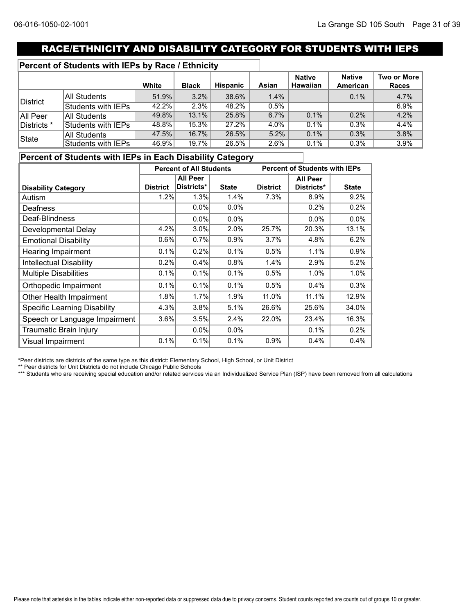## RACE/ETHNICITY AND DISABILITY CATEGORY FOR STUDENTS WITH IEPS

#### **Percent of Students with IEPs by Race / Ethnicity**

|             |                     | White    | <b>Black</b> | Hispanic | Asian | <b>Native</b><br><b>Hawaiian</b> | <b>Native</b><br>American | Two or More<br><b>Races</b> |
|-------------|---------------------|----------|--------------|----------|-------|----------------------------------|---------------------------|-----------------------------|
| District    | All Students        | 51.9%    | 3.2%         | 38.6%    | 1.4%  |                                  | 0.1%                      | 4.7%                        |
|             | Students with IEPs  | $42.2\%$ | 2.3%         | 48.2%    | 0.5%  |                                  |                           | 6.9%                        |
| All Peer    | <b>All Students</b> | 49.8%    | 13.1%        | 25.8%    | 6.7%  | 0.1%                             | 0.2%                      | 4.2%                        |
| Districts * | Students with IEPs  | 48.8%    | 15.3%        | 27.2%    | 4.0%  | $0.1\%$                          | 0.3%                      | 4.4%                        |
| State       | <b>All Students</b> | 47.5%    | 16.7%        | 26.5%    | 5.2%  | 0.1%                             | 0.3%                      | 3.8%                        |
|             | Students with IEPs  | 46.9%    | 19.7%        | 26.5%    | 2.6%  | 0.1%                             | 0.3%                      | 3.9%                        |

### **Percent of Students with IEPs in Each Disability Category**

|                                     | <b>Percent of All Students</b> |                 |              | <b>Percent of Students with IEPs</b> |                 |              |  |
|-------------------------------------|--------------------------------|-----------------|--------------|--------------------------------------|-----------------|--------------|--|
|                                     |                                | <b>All Peer</b> |              |                                      | <b>All Peer</b> |              |  |
| <b>Disability Category</b>          | <b>District</b>                | Districts*      | <b>State</b> | <b>District</b>                      | Districts*      | <b>State</b> |  |
| Autism                              | 1.2%                           | 1.3%            | 1.4%         | 7.3%                                 | 8.9%            | 9.2%         |  |
| Deafness                            |                                | $0.0\%$         | 0.0%         |                                      | 0.2%            | 0.2%         |  |
| Deaf-Blindness                      |                                | $0.0\%$         | $0.0\%$      |                                      | 0.0%            | 0.0%         |  |
| Developmental Delay                 | 4.2%                           | 3.0%            | 2.0%         | 25.7%                                | 20.3%           | 13.1%        |  |
| <b>Emotional Disability</b>         | 0.6%                           | 0.7%            | 0.9%         | 3.7%                                 | 4.8%            | 6.2%         |  |
| <b>Hearing Impairment</b>           | 0.1%                           | 0.2%            | 0.1%         | 0.5%                                 | 1.1%            | 0.9%         |  |
| <b>Intellectual Disability</b>      | 0.2%                           | 0.4%            | 0.8%         | 1.4%                                 | 2.9%            | 5.2%         |  |
| <b>Multiple Disabilities</b>        | 0.1%                           | 0.1%            | 0.1%         | 0.5%                                 | 1.0%            | 1.0%         |  |
| Orthopedic Impairment               | 0.1%                           | 0.1%            | 0.1%         | 0.5%                                 | 0.4%            | 0.3%         |  |
| Other Health Impairment             | 1.8%                           | 1.7%            | 1.9%         | 11.0%                                | 11.1%           | 12.9%        |  |
| <b>Specific Learning Disability</b> | 4.3%                           | 3.8%            | 5.1%         | 26.6%                                | 25.6%           | 34.0%        |  |
| Speech or Language Impairment       | 3.6%                           | 3.5%            | 2.4%         | 22.0%                                | 23.4%           | 16.3%        |  |
| Traumatic Brain Injury              |                                | $0.0\%$         | $0.0\%$      |                                      | 0.1%            | 0.2%         |  |
| <b>Visual Impairment</b>            | 0.1%                           | 0.1%            | 0.1%         | 0.9%                                 | 0.4%            | 0.4%         |  |

\*Peer districts are districts of the same type as this district: Elementary School, High School, or Unit District

\*\* Peer districts for Unit Districts do not include Chicago Public Schools

\*\*\* Students who are receiving special education and/or related services via an Individualized Service Plan (ISP) have been removed from all calculations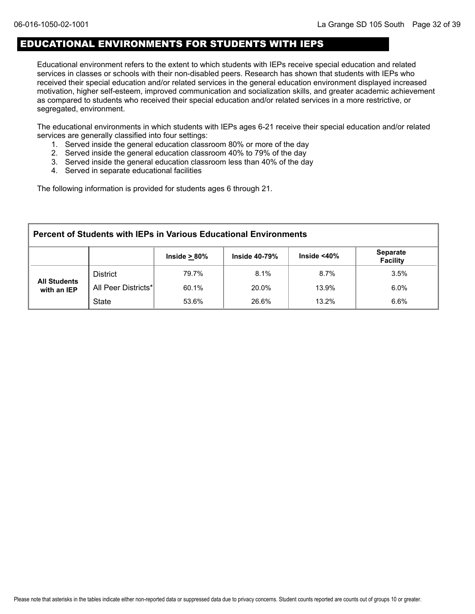## EDUCATIONAL ENVIRONMENTS FOR STUDENTS WITH IEPS

Educational environment refers to the extent to which students with IEPs receive special education and related services in classes or schools with their non-disabled peers. Research has shown that students with IEPs who received their special education and/or related services in the general education environment displayed increased motivation, higher self-esteem, improved communication and socialization skills, and greater academic achievement as compared to students who received their special education and/or related services in a more restrictive, or segregated, environment.

The educational environments in which students with IEPs ages 6-21 receive their special education and/or related services are generally classified into four settings:

- 1. Served inside the general education classroom 80% or more of the day
- 2. Served inside the general education classroom 40% to 79% of the day
- 3. Served inside the general education classroom less than 40% of the day
- 4. Served in separate educational facilities

The following information is provided for students ages 6 through 21.

| <b>Percent of Students with IEPs in Various Educational Environments</b> |                                                                                                        |       |       |         |         |  |  |  |  |
|--------------------------------------------------------------------------|--------------------------------------------------------------------------------------------------------|-------|-------|---------|---------|--|--|--|--|
|                                                                          | <b>Separate</b><br>Inside $<$ 40 $\%$<br>Inside $\geq 80\%$<br><b>Inside 40-79%</b><br><b>Facility</b> |       |       |         |         |  |  |  |  |
| <b>All Students</b><br>with an IEP                                       | <b>District</b>                                                                                        | 79.7% | 8.1%  | $8.7\%$ | 3.5%    |  |  |  |  |
|                                                                          | All Peer Districts*                                                                                    | 60.1% | 20.0% | 13.9%   | $6.0\%$ |  |  |  |  |
|                                                                          | <b>State</b>                                                                                           | 53.6% | 26.6% | 13.2%   | 6.6%    |  |  |  |  |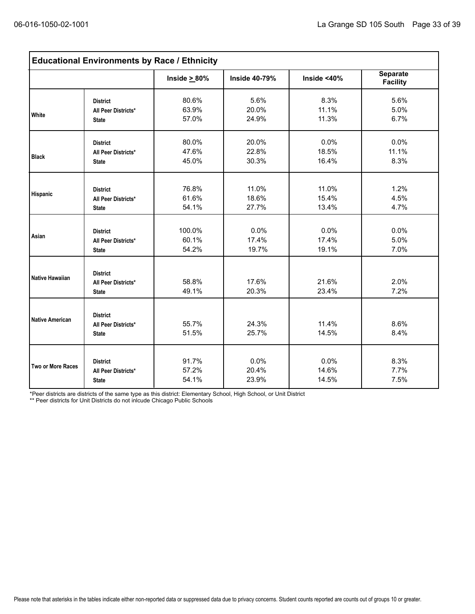| <b>Educational Environments by Race / Ethnicity</b> |                                                        |                    |                      |                |                                    |  |  |
|-----------------------------------------------------|--------------------------------------------------------|--------------------|----------------------|----------------|------------------------------------|--|--|
|                                                     |                                                        | Inside $\geq 80\%$ | <b>Inside 40-79%</b> | Inside $<$ 40% | <b>Separate</b><br><b>Facility</b> |  |  |
| White                                               | <b>District</b>                                        | 80.6%              | 5.6%                 | 8.3%           | 5.6%                               |  |  |
|                                                     | All Peer Districts*                                    | 63.9%              | 20.0%                | 11.1%          | 5.0%                               |  |  |
|                                                     | <b>State</b>                                           | 57.0%              | 24.9%                | 11.3%          | 6.7%                               |  |  |
| <b>Black</b>                                        | <b>District</b>                                        | 80.0%              | 20.0%                | 0.0%           | 0.0%                               |  |  |
|                                                     | All Peer Districts*                                    | 47.6%              | 22.8%                | 18.5%          | 11.1%                              |  |  |
|                                                     | <b>State</b>                                           | 45.0%              | 30.3%                | 16.4%          | 8.3%                               |  |  |
| <b>Hispanic</b>                                     | <b>District</b>                                        | 76.8%              | 11.0%                | 11.0%          | 1.2%                               |  |  |
|                                                     | All Peer Districts*                                    | 61.6%              | 18.6%                | 15.4%          | 4.5%                               |  |  |
|                                                     | <b>State</b>                                           | 54.1%              | 27.7%                | 13.4%          | 4.7%                               |  |  |
| Asian                                               | <b>District</b>                                        | 100.0%             | 0.0%                 | 0.0%           | 0.0%                               |  |  |
|                                                     | All Peer Districts*                                    | 60.1%              | 17.4%                | 17.4%          | 5.0%                               |  |  |
|                                                     | <b>State</b>                                           | 54.2%              | 19.7%                | 19.1%          | 7.0%                               |  |  |
| Native Hawaiian                                     | <b>District</b><br>All Peer Districts*<br><b>State</b> | 58.8%<br>49.1%     | 17.6%<br>20.3%       | 21.6%<br>23.4% | 2.0%<br>7.2%                       |  |  |
| <b>Native American</b>                              | <b>District</b><br>All Peer Districts*<br><b>State</b> | 55.7%<br>51.5%     | 24.3%<br>25.7%       | 11.4%<br>14.5% | 8.6%<br>8.4%                       |  |  |
| Two or More Races                                   | <b>District</b>                                        | 91.7%              | 0.0%                 | 0.0%           | 8.3%                               |  |  |
|                                                     | All Peer Districts*                                    | 57.2%              | 20.4%                | 14.6%          | 7.7%                               |  |  |
|                                                     | <b>State</b>                                           | 54.1%              | 23.9%                | 14.5%          | 7.5%                               |  |  |

\*Peer districts are districts of the same type as this district: Elementary School, High School, or Unit District

\*\* Peer districts for Unit Districts do not inlcude Chicago Public Schools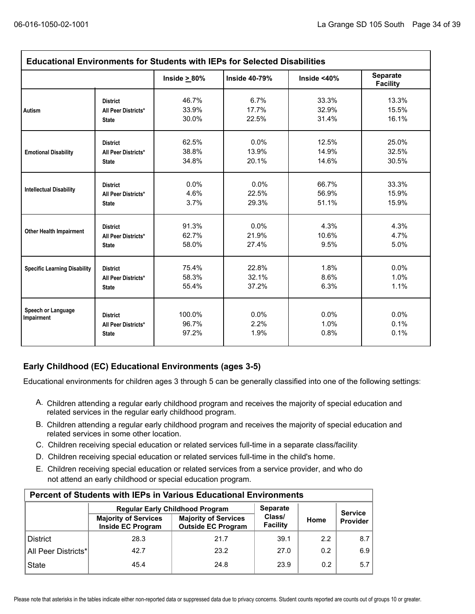| <b>Educational Environments for Students with IEPs for Selected Disabilities</b> |                                                        |                          |                      |                      |                             |  |
|----------------------------------------------------------------------------------|--------------------------------------------------------|--------------------------|----------------------|----------------------|-----------------------------|--|
|                                                                                  |                                                        | Inside $\geq 80\%$       | <b>Inside 40-79%</b> | Inside <40%          | Separate<br><b>Facility</b> |  |
| Autism                                                                           | <b>District</b>                                        | 46.7%                    | 6.7%                 | 33.3%                | 13.3%                       |  |
|                                                                                  | All Peer Districts*                                    | 33.9%                    | 17.7%                | 32.9%                | 15.5%                       |  |
|                                                                                  | <b>State</b>                                           | 30.0%                    | 22.5%                | 31.4%                | 16.1%                       |  |
| <b>Emotional Disability</b>                                                      | <b>District</b>                                        | 62.5%                    | 0.0%                 | 12.5%                | 25.0%                       |  |
|                                                                                  | All Peer Districts*                                    | 38.8%                    | 13.9%                | 14.9%                | 32.5%                       |  |
|                                                                                  | <b>State</b>                                           | 34.8%                    | 20.1%                | 14.6%                | 30.5%                       |  |
| <b>Intellectual Disability</b>                                                   | <b>District</b>                                        | 0.0%                     | 0.0%                 | 66.7%                | 33.3%                       |  |
|                                                                                  | All Peer Districts*                                    | 4.6%                     | 22.5%                | 56.9%                | 15.9%                       |  |
|                                                                                  | <b>State</b>                                           | 3.7%                     | 29.3%                | 51.1%                | 15.9%                       |  |
| <b>Other Health Impairment</b>                                                   | <b>District</b>                                        | 91.3%                    | 0.0%                 | 4.3%                 | 4.3%                        |  |
|                                                                                  | All Peer Districts*                                    | 62.7%                    | 21.9%                | 10.6%                | 4.7%                        |  |
|                                                                                  | <b>State</b>                                           | 58.0%                    | 27.4%                | 9.5%                 | 5.0%                        |  |
| <b>Specific Learning Disability</b>                                              | <b>District</b>                                        | 75.4%                    | 22.8%                | 1.8%                 | 0.0%                        |  |
|                                                                                  | All Peer Districts*                                    | 58.3%                    | 32.1%                | 8.6%                 | 1.0%                        |  |
|                                                                                  | <b>State</b>                                           | 55.4%                    | 37.2%                | 6.3%                 | 1.1%                        |  |
| Speech or Language<br>Impairment                                                 | <b>District</b><br>All Peer Districts*<br><b>State</b> | 100.0%<br>96.7%<br>97.2% | 0.0%<br>2.2%<br>1.9% | 0.0%<br>1.0%<br>0.8% | 0.0%<br>0.1%<br>0.1%        |  |

### **Early Childhood (EC) Educational Environments (ages 3-5)**

Educational environments for children ages 3 through 5 can be generally classified into one of the following settings:

- A. Children attending a regular early childhood program and receives the majority of special education and related services in the regular early childhood program.
- B. Children attending a regular early childhood program and receives the majority of special education and related services in some other location.
- C. Children receiving special education or related services full-time in a separate class/facility.
- D. Children receiving special education or related services full-time in the child's home.
- E. Children receiving special education or related services from a service provider, and who do not attend an early childhood or special education program.

| <b>Percent of Students with IEPs in Various Educational Environments</b> |                                                         |                                                          |                    |                |          |  |  |  |
|--------------------------------------------------------------------------|---------------------------------------------------------|----------------------------------------------------------|--------------------|----------------|----------|--|--|--|
|                                                                          | <b>Regular Early Childhood Program</b>                  | <b>Separate</b>                                          |                    | <b>Service</b> |          |  |  |  |
|                                                                          | <b>Majority of Services</b><br><b>Inside EC Program</b> | <b>Majority of Services</b><br><b>Outside EC Program</b> | Class/<br>Facility | Home           | Provider |  |  |  |
| <b>District</b>                                                          | 28.3                                                    | 21.7                                                     | 39.1               | 2.2            | 8.7      |  |  |  |
| All Peer Districts*                                                      | 42.7                                                    | 23.2                                                     | 27.0               | 0.2            | 6.9      |  |  |  |
| <b>State</b>                                                             | 45.4                                                    | 24.8                                                     | 23.9               | 0.2            | 5.7      |  |  |  |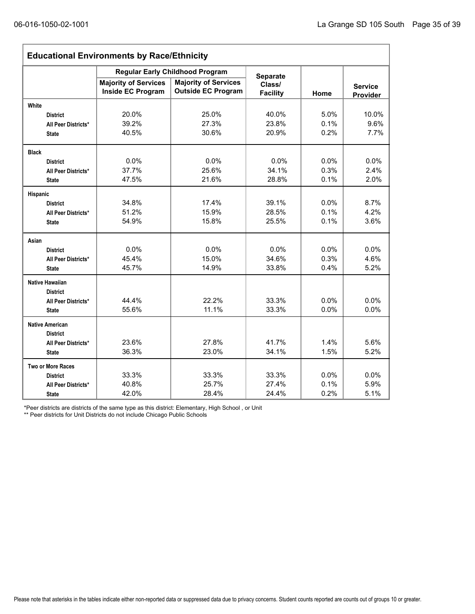r

| <b>Educational Environments by Race/Ethnicity</b> |                                                         |                                                          |                           |      |                            |  |
|---------------------------------------------------|---------------------------------------------------------|----------------------------------------------------------|---------------------------|------|----------------------------|--|
|                                                   | <b>Regular Early Childhood Program</b>                  | <b>Separate</b>                                          |                           |      |                            |  |
|                                                   | <b>Majority of Services</b><br><b>Inside EC Program</b> | <b>Majority of Services</b><br><b>Outside EC Program</b> | Class/<br><b>Facility</b> | Home | <b>Service</b><br>Provider |  |
| White                                             |                                                         |                                                          |                           |      |                            |  |
| <b>District</b>                                   | 20.0%                                                   | 25.0%                                                    | 40.0%                     | 5.0% | 10.0%                      |  |
| All Peer Districts*                               | 39.2%                                                   | 27.3%                                                    | 23.8%                     | 0.1% | 9.6%                       |  |
| <b>State</b>                                      | 40.5%                                                   | 30.6%                                                    | 20.9%                     | 0.2% | 7.7%                       |  |
| <b>Black</b>                                      |                                                         |                                                          |                           |      |                            |  |
| <b>District</b>                                   | 0.0%                                                    | 0.0%                                                     | 0.0%                      | 0.0% | 0.0%                       |  |
| All Peer Districts*                               | 37.7%                                                   | 25.6%                                                    | 34.1%                     | 0.3% | 2.4%                       |  |
| <b>State</b>                                      | 47.5%                                                   | 21.6%                                                    | 28.8%                     | 0.1% | 2.0%                       |  |
| Hispanic                                          |                                                         |                                                          |                           |      |                            |  |
| <b>District</b>                                   | 34.8%                                                   | 17.4%                                                    | 39.1%                     | 0.0% | 8.7%                       |  |
| All Peer Districts*                               | 51.2%                                                   | 15.9%                                                    | 28.5%                     | 0.1% | 4.2%                       |  |
| <b>State</b>                                      | 54.9%                                                   | 15.8%                                                    | 25.5%                     | 0.1% | 3.6%                       |  |
| Asian                                             |                                                         |                                                          |                           |      |                            |  |
| <b>District</b>                                   | 0.0%                                                    | 0.0%                                                     | 0.0%                      | 0.0% | 0.0%                       |  |
| All Peer Districts*                               | 45.4%                                                   | 15.0%                                                    | 34.6%                     | 0.3% | 4.6%                       |  |
| <b>State</b>                                      | 45.7%                                                   | 14.9%                                                    | 33.8%                     | 0.4% | 5.2%                       |  |
| <b>Native Hawaiian</b>                            |                                                         |                                                          |                           |      |                            |  |
| <b>District</b>                                   |                                                         |                                                          |                           |      |                            |  |
| All Peer Districts*                               | 44.4%                                                   | 22.2%                                                    | 33.3%                     | 0.0% | 0.0%                       |  |
| <b>State</b>                                      | 55.6%                                                   | 11.1%                                                    | 33.3%                     | 0.0% | 0.0%                       |  |
| <b>Native American</b>                            |                                                         |                                                          |                           |      |                            |  |
| <b>District</b>                                   |                                                         |                                                          |                           |      |                            |  |
| All Peer Districts*                               | 23.6%                                                   | 27.8%                                                    | 41.7%                     | 1.4% | 5.6%                       |  |
| <b>State</b>                                      | 36.3%                                                   | 23.0%                                                    | 34.1%                     | 1.5% | 5.2%                       |  |
| <b>Two or More Races</b>                          |                                                         |                                                          |                           |      |                            |  |
| <b>District</b>                                   | 33.3%                                                   | 33.3%                                                    | 33.3%                     | 0.0% | 0.0%                       |  |
| All Peer Districts*                               | 40.8%                                                   | 25.7%                                                    | 27.4%                     | 0.1% | 5.9%                       |  |
| <b>State</b>                                      | 42.0%                                                   | 28.4%                                                    | 24.4%                     | 0.2% | 5.1%                       |  |

\*Peer districts are districts of the same type as this district: Elementary, High School , or Unit

\*\* Peer districts for Unit Districts do not include Chicago Public Schools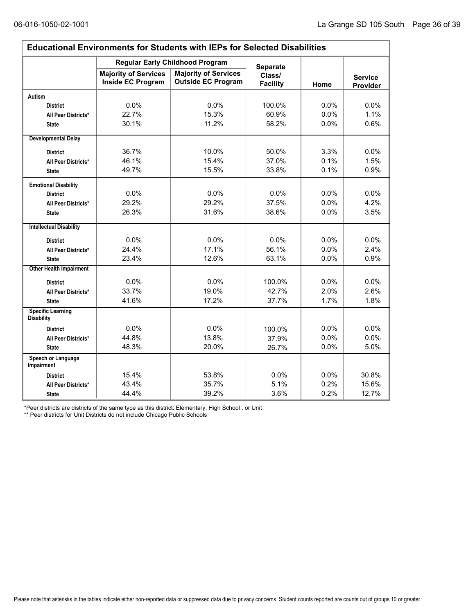$\Gamma$ 

| <b>Educational Environments for Students with IEPs for Selected Disabilities</b> |                                                         |                                                          |                           |         |                            |  |
|----------------------------------------------------------------------------------|---------------------------------------------------------|----------------------------------------------------------|---------------------------|---------|----------------------------|--|
|                                                                                  | <b>Regular Early Childhood Program</b>                  | <b>Separate</b>                                          |                           |         |                            |  |
|                                                                                  | <b>Majority of Services</b><br><b>Inside EC Program</b> | <b>Majority of Services</b><br><b>Outside EC Program</b> | Class/<br><b>Facility</b> | Home    | <b>Service</b><br>Provider |  |
| Autism                                                                           |                                                         |                                                          |                           |         |                            |  |
| <b>District</b>                                                                  | 0.0%                                                    | 0.0%                                                     | 100.0%                    | 0.0%    | $0.0\%$                    |  |
| All Peer Districts*                                                              | 22.7%                                                   | 15.3%                                                    | 60.9%                     | 0.0%    | 1.1%                       |  |
| <b>State</b>                                                                     | 30.1%                                                   | 11.2%                                                    | 58.2%                     | 0.0%    | 0.6%                       |  |
| <b>Developmental Delay</b>                                                       |                                                         |                                                          |                           |         |                            |  |
| <b>District</b>                                                                  | 36.7%                                                   | 10.0%                                                    | 50.0%                     | 3.3%    | $0.0\%$                    |  |
| All Peer Districts*                                                              | 46.1%                                                   | 15.4%                                                    | 37.0%                     | 0.1%    | 1.5%                       |  |
| <b>State</b>                                                                     | 49.7%                                                   | 15.5%                                                    | 33.8%                     | 0.1%    | 0.9%                       |  |
| <b>Emotional Disability</b>                                                      |                                                         |                                                          |                           |         |                            |  |
| <b>District</b>                                                                  | 0.0%                                                    | 0.0%                                                     | 0.0%                      | 0.0%    | 0.0%                       |  |
| All Peer Districts*                                                              | 29.2%                                                   | 29.2%                                                    | 37.5%                     | 0.0%    | 4.2%                       |  |
| <b>State</b>                                                                     | 26.3%                                                   | 31.6%                                                    | 38.6%                     | 0.0%    | 3.5%                       |  |
| <b>Intellectual Disability</b>                                                   |                                                         |                                                          |                           |         |                            |  |
| <b>District</b>                                                                  | 0.0%                                                    | 0.0%                                                     | 0.0%                      | 0.0%    | $0.0\%$                    |  |
| All Peer Districts*                                                              | 24.4%                                                   | 17.1%                                                    | 56.1%                     | 0.0%    | 2.4%                       |  |
| <b>State</b>                                                                     | 23.4%                                                   | 12.6%                                                    | 63.1%                     | 0.0%    | 0.9%                       |  |
| <b>Other Health Impairment</b>                                                   |                                                         |                                                          |                           |         |                            |  |
| <b>District</b>                                                                  | 0.0%                                                    | 0.0%                                                     | 100.0%                    | $0.0\%$ | 0.0%                       |  |
| All Peer Districts*                                                              | 33.7%                                                   | 19.0%                                                    | 42.7%                     | 2.0%    | 2.6%                       |  |
| <b>State</b>                                                                     | 41.6%                                                   | 17.2%                                                    | 37.7%                     | 1.7%    | 1.8%                       |  |
| <b>Specific Learning</b><br><b>Disability</b>                                    |                                                         |                                                          |                           |         |                            |  |
| <b>District</b>                                                                  | 0.0%                                                    | 0.0%                                                     | 100.0%                    | 0.0%    | 0.0%                       |  |
| All Peer Districts*                                                              | 44.8%                                                   | 13.8%                                                    | 37.9%                     | 0.0%    | 0.0%                       |  |
| <b>State</b>                                                                     | 48.3%                                                   | 20.0%                                                    | 26.7%                     | 0.0%    | 5.0%                       |  |
| Speech or Language<br><b>Impairment</b>                                          |                                                         |                                                          |                           |         |                            |  |
| <b>District</b>                                                                  | 15.4%                                                   | 53.8%                                                    | 0.0%                      | 0.0%    | 30.8%                      |  |
| All Peer Districts*                                                              | 43.4%                                                   | 35.7%                                                    | 5.1%                      | 0.2%    | 15.6%                      |  |
| <b>State</b>                                                                     | 44.4%                                                   | 39.2%                                                    | 3.6%                      | 0.2%    | 12.7%                      |  |

\*Peer districts are districts of the same type as this district: Elementary, High School , or Unit

\*\* Peer districts for Unit Districts do not include Chicago Public Schools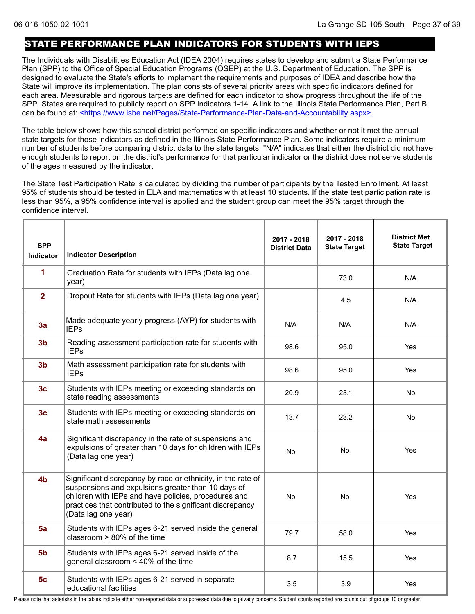## STATE PERFORMANCE PLAN INDICATORS FOR STUDENTS WITH IEPS

The Individuals with Disabilities Education Act (IDEA 2004) requires states to develop and submit a State Performance Plan (SPP) to the Office of Special Education Programs (OSEP) at the U.S. Department of Education. The SPP is designed to evaluate the State's efforts to implement the requirements and purposes of IDEA and describe how the State will improve its implementation. The plan consists of several priority areas with specific indicators defined for each area. Measurable and rigorous targets are defined for each indicator to show progress throughout the life of the SPP. States are required to publicly report on SPP Indicators 1-14. A link to the Illinois State Performance Plan, Part B can be found at: <https://www.isbe.net/Pages/State-Performance-Plan-Data-and-Accountability.aspx>

The table below shows how this school district performed on specific indicators and whether or not it met the annual state targets for those indicators as defined in the Illinois State Performance Plan. Some indicators require a minimum number of students before comparing district data to the state targets. "N/A" indicates that either the district did not have enough students to report on the district's performance for that particular indicator or the district does not serve students of the ages measured by the indicator.

The State Test Participation Rate is calculated by dividing the number of participants by the Tested Enrollment. At least 95% of students should be tested in ELA and mathematics with at least 10 students. If the state test participation rate is less than 95%, a 95% confidence interval is applied and the student group can meet the 95% target through the confidence interval.

| <b>SPP</b><br><b>Indicator</b> | <b>Indicator Description</b>                                                                                                                                                                                                                                   | 2017 - 2018<br><b>District Data</b> | 2017 - 2018<br><b>State Target</b> | <b>District Met</b><br><b>State Target</b> |
|--------------------------------|----------------------------------------------------------------------------------------------------------------------------------------------------------------------------------------------------------------------------------------------------------------|-------------------------------------|------------------------------------|--------------------------------------------|
| 1                              | Graduation Rate for students with IEPs (Data lag one<br>year)                                                                                                                                                                                                  |                                     | 73.0                               | N/A                                        |
| $\overline{2}$                 | Dropout Rate for students with IEPs (Data lag one year)                                                                                                                                                                                                        |                                     | 4.5                                | N/A                                        |
| 3a                             | Made adequate yearly progress (AYP) for students with<br><b>IEPs</b>                                                                                                                                                                                           | N/A                                 | N/A                                | N/A                                        |
| 3 <sub>b</sub>                 | Reading assessment participation rate for students with<br><b>IEPs</b>                                                                                                                                                                                         | 98.6                                | 95.0                               | Yes                                        |
| 3 <sub>b</sub>                 | Math assessment participation rate for students with<br><b>IEPs</b>                                                                                                                                                                                            | 98.6                                | 95.0                               | Yes                                        |
| 3 <sub>c</sub>                 | Students with IEPs meeting or exceeding standards on<br>state reading assessments                                                                                                                                                                              | 20.9                                | 23.1                               | No                                         |
| 3 <sub>c</sub>                 | Students with IEPs meeting or exceeding standards on<br>state math assessments                                                                                                                                                                                 | 13.7                                | 23.2                               | No.                                        |
| 4a                             | Significant discrepancy in the rate of suspensions and<br>expulsions of greater than 10 days for children with IEPs<br>(Data lag one year)                                                                                                                     | No                                  | No                                 | Yes                                        |
| 4 <sub>b</sub>                 | Significant discrepancy by race or ethnicity, in the rate of<br>suspensions and expulsions greater than 10 days of<br>children with IEPs and have policies, procedures and<br>practices that contributed to the significant discrepancy<br>(Data lag one year) | No                                  | No                                 | Yes                                        |
| 5a                             | Students with IEPs ages 6-21 served inside the general<br>classroom $\geq$ 80% of the time                                                                                                                                                                     | 79.7                                | 58.0                               | Yes                                        |
| 5 <sub>b</sub>                 | Students with IEPs ages 6-21 served inside of the<br>general classroom < 40% of the time                                                                                                                                                                       | 8.7                                 | 15.5                               | <b>Yes</b>                                 |
| 5 <sub>c</sub>                 | Students with IEPs ages 6-21 served in separate<br>educational facilities                                                                                                                                                                                      | 3.5                                 | 3.9                                | Yes                                        |

Please note that asterisks in the tables indicate either non-reported data or suppressed data due to privacy concerns. Student counts reported are counts out of groups 10 or greater.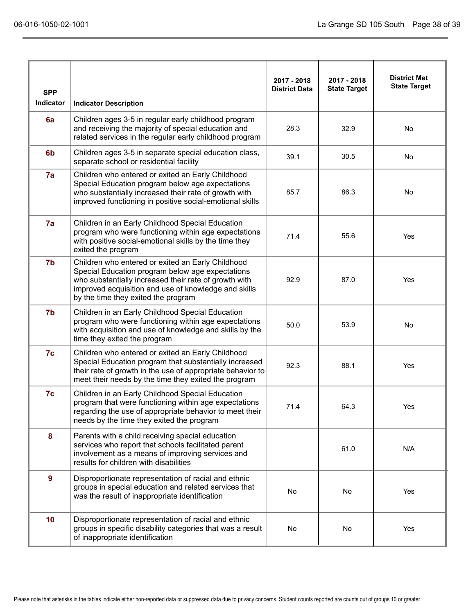|                         |                                                                                                                                                                                                                                                               | 2017 - 2018          | 2017 - 2018         | <b>District Met</b><br><b>State Target</b> |
|-------------------------|---------------------------------------------------------------------------------------------------------------------------------------------------------------------------------------------------------------------------------------------------------------|----------------------|---------------------|--------------------------------------------|
| <b>SPP</b><br>Indicator | <b>Indicator Description</b>                                                                                                                                                                                                                                  | <b>District Data</b> | <b>State Target</b> |                                            |
| 6a                      | Children ages 3-5 in regular early childhood program<br>and receiving the majority of special education and<br>related services in the regular early childhood program                                                                                        | 28.3                 | 32.9                | No                                         |
| 6 <sub>b</sub>          | Children ages 3-5 in separate special education class,<br>separate school or residential facility                                                                                                                                                             | 39.1                 | 30.5                | <b>No</b>                                  |
| 7a                      | Children who entered or exited an Early Childhood<br>Special Education program below age expectations<br>who substantially increased their rate of growth with<br>improved functioning in positive social-emotional skills                                    | 85.7                 | 86.3                | No                                         |
| 7a                      | Children in an Early Childhood Special Education<br>program who were functioning within age expectations<br>with positive social-emotional skills by the time they<br>exited the program                                                                      | 71.4                 | 55.6                | Yes                                        |
| 7b                      | Children who entered or exited an Early Childhood<br>Special Education program below age expectations<br>who substantially increased their rate of growth with<br>improved acquisition and use of knowledge and skills<br>by the time they exited the program | 92.9                 | 87.0                | Yes                                        |
| 7b                      | Children in an Early Childhood Special Education<br>program who were functioning within age expectations<br>with acquisition and use of knowledge and skills by the<br>time they exited the program                                                           | 50.0                 | 53.9                | No                                         |
| 7c                      | Children who entered or exited an Early Childhood<br>Special Education program that substantially increased<br>their rate of growth in the use of appropriate behavior to<br>meet their needs by the time they exited the program                             | 92.3                 | 88.1                | Yes                                        |
| 7c                      | Children in an Early Childhood Special Education<br>program that were functioning within age expectations<br>regarding the use of appropriate behavior to meet their<br>needs by the time they exited the program                                             | 71.4                 | 64.3                | Yes                                        |
| 8                       | Parents with a child receiving special education<br>services who report that schools facilitated parent<br>involvement as a means of improving services and<br>results for children with disabilities                                                         |                      | 61.0                | N/A                                        |
| $\overline{9}$          | Disproportionate representation of racial and ethnic<br>groups in special education and related services that<br>was the result of inappropriate identification                                                                                               | No                   | No                  | Yes                                        |
| 10                      | Disproportionate representation of racial and ethnic<br>groups in specific disability categories that was a result<br>of inappropriate identification                                                                                                         | No                   | No                  | Yes                                        |